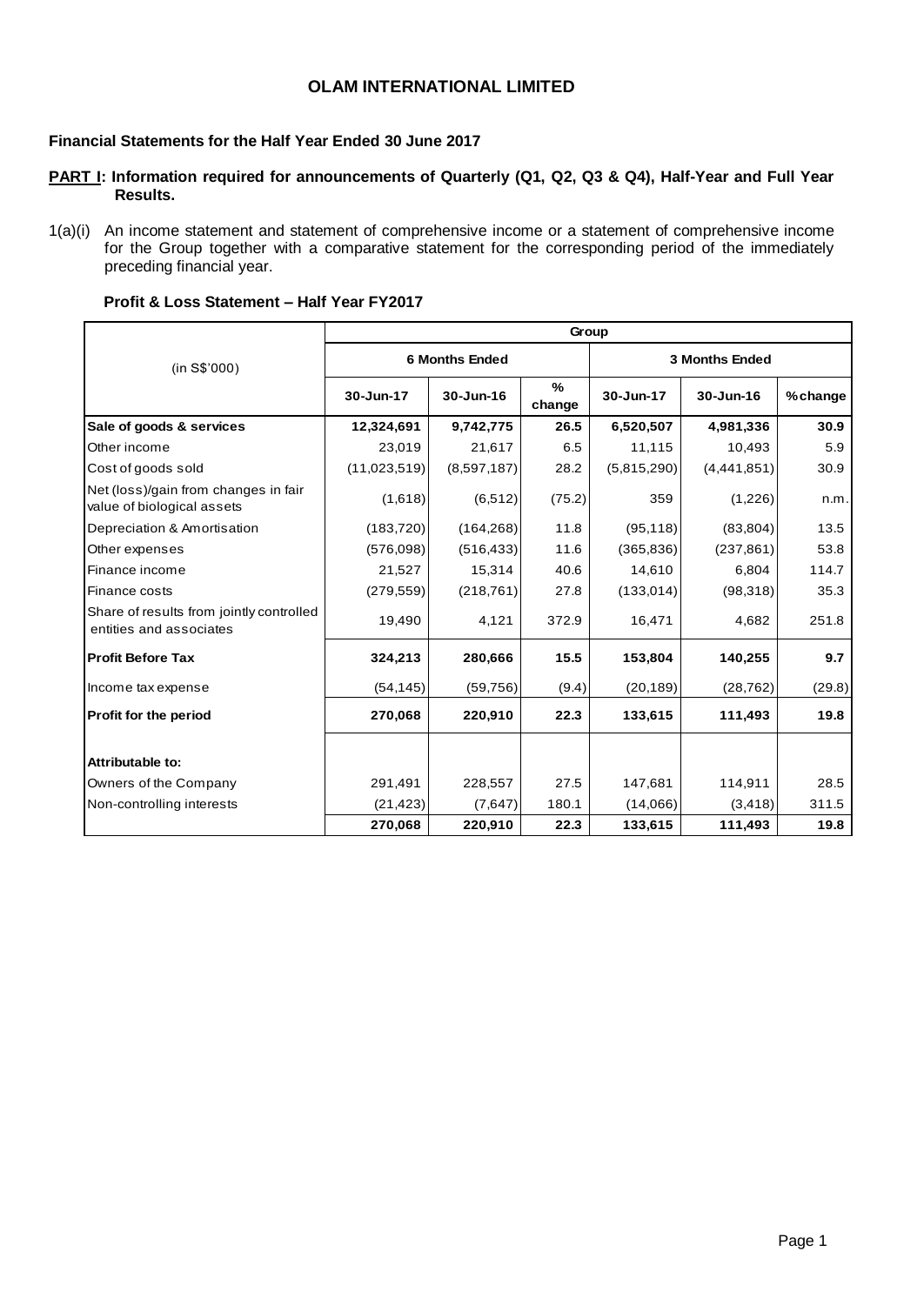## **OLAM INTERNATIONAL LIMITED**

### **Financial Statements for the Half Year Ended 30 June 2017**

#### **PART I: Information required for announcements of Quarterly (Q1, Q2, Q3 & Q4), Half-Year and Full Year Results.**

1(a)(i) An income statement and statement of comprehensive income or a statement of comprehensive income for the Group together with a comparative statement for the corresponding period of the immediately preceding financial year.

#### **Profit & Loss Statement – Half Year FY2017**

|                                                                     |              |                       | Group       |             |                       |          |
|---------------------------------------------------------------------|--------------|-----------------------|-------------|-------------|-----------------------|----------|
| (in S\$'000)                                                        |              | <b>6 Months Ended</b> |             |             | <b>3 Months Ended</b> |          |
|                                                                     | 30-Jun-17    | 30-Jun-16             | %<br>change | 30-Jun-17   | $30 - Jun-16$         | % change |
| Sale of goods & services                                            | 12,324,691   | 9,742,775             | 26.5        | 6,520,507   | 4,981,336             | 30.9     |
| Other income                                                        | 23,019       | 21,617                | 6.5         | 11,115      | 10,493                | 5.9      |
| Cost of goods sold                                                  | (11,023,519) | (8,597,187)           | 28.2        | (5,815,290) | (4,441,851)           | 30.9     |
| Net (loss)/gain from changes in fair<br>value of biological assets  | (1,618)      | (6, 512)              | (75.2)      | 359         | (1,226)               | n.m.     |
| Depreciation & Amortisation                                         | (183, 720)   | (164, 268)            | 11.8        | (95, 118)   | (83, 804)             | 13.5     |
| Other expenses                                                      | (576,098)    | (516, 433)            | 11.6        | (365, 836)  | (237, 861)            | 53.8     |
| Finance income                                                      | 21,527       | 15,314                | 40.6        | 14,610      | 6,804                 | 114.7    |
| Finance costs                                                       | (279, 559)   | (218, 761)            | 27.8        | (133,014)   | (98,318)              | 35.3     |
| Share of results from jointly controlled<br>entities and associates | 19,490       | 4,121                 | 372.9       | 16,471      | 4,682                 | 251.8    |
| <b>Profit Before Tax</b>                                            | 324,213      | 280,666               | 15.5        | 153,804     | 140,255               | 9.7      |
| Income tax expense                                                  | (54, 145)    | (59, 756)             | (9.4)       | (20, 189)   | (28, 762)             | (29.8)   |
| Profit for the period                                               | 270,068      | 220,910               | 22.3        | 133,615     | 111,493               | 19.8     |
| Attributable to:                                                    |              |                       |             |             |                       |          |
| Owners of the Company                                               | 291,491      | 228,557               | 27.5        | 147,681     | 114,911               | 28.5     |
| Non-controlling interests                                           | (21, 423)    | (7,647)               | 180.1       | (14,066)    | (3, 418)              | 311.5    |
|                                                                     | 270,068      | 220,910               | 22.3        | 133,615     | 111,493               | 19.8     |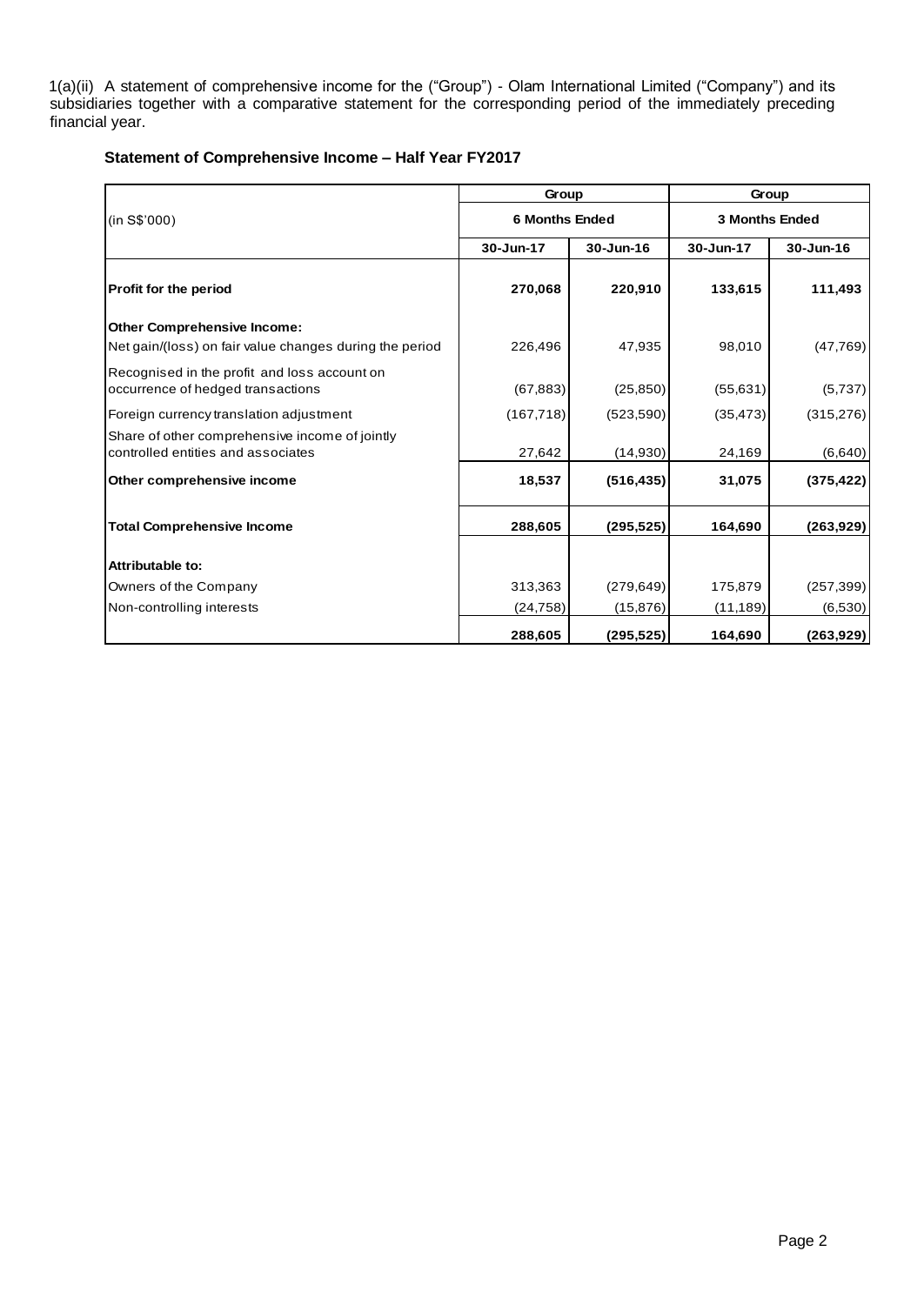1(a)(ii) A statement of comprehensive income for the ("Group") - Olam International Limited ("Company") and its subsidiaries together with a comparative statement for the corresponding period of the immediately preceding financial year.

### **Statement of Comprehensive Income – Half Year FY2017**

|                                                                                               | Group                 |            | Group                 |            |  |  |
|-----------------------------------------------------------------------------------------------|-----------------------|------------|-----------------------|------------|--|--|
| (in S\$'000)                                                                                  | <b>6 Months Ended</b> |            | <b>3 Months Ended</b> |            |  |  |
|                                                                                               | 30-Jun-17             | 30-Jun-16  | 30-Jun-17             | 30-Jun-16  |  |  |
| Profit for the period                                                                         | 270,068               | 220,910    | 133,615               | 111,493    |  |  |
| <b>Other Comprehensive Income:</b><br>Net gain/(loss) on fair value changes during the period | 226,496               | 47,935     | 98,010                | (47, 769)  |  |  |
| Recognised in the profit and loss account on<br>occurrence of hedged transactions             | (67, 883)             | (25, 850)  | (55, 631)             | (5,737)    |  |  |
| Foreign currency translation adjustment                                                       | (167, 718)            | (523, 590) | (35, 473)             | (315, 276) |  |  |
| Share of other comprehensive income of jointly<br>controlled entities and associates          | 27,642                | (14, 930)  | 24,169                | (6,640)    |  |  |
| Other comprehensive income                                                                    | 18,537                | (516, 435) | 31,075                | (375, 422) |  |  |
| <b>Total Comprehensive Income</b>                                                             | 288,605               | (295, 525) | 164,690               | (263, 929) |  |  |
| Attributable to:                                                                              |                       |            |                       |            |  |  |
| Owners of the Company                                                                         | 313,363               | (279, 649) | 175,879               | (257, 399) |  |  |
| Non-controlling interests                                                                     | (24, 758)             | (15, 876)  | (11, 189)             | (6,530)    |  |  |
|                                                                                               | 288,605               | (295, 525) | 164,690               | (263, 929) |  |  |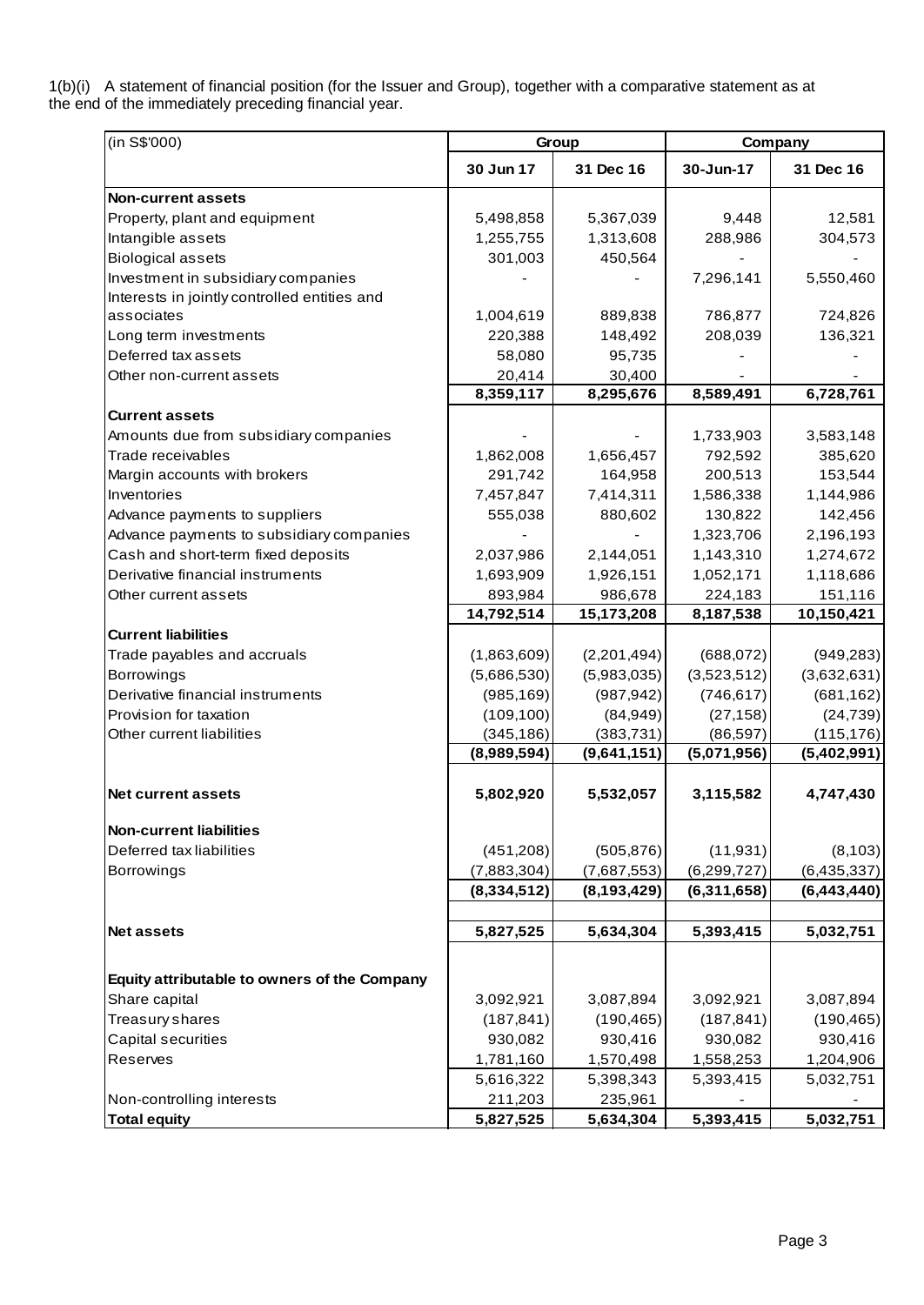1(b)(i) A statement of financial position (for the Issuer and Group), together with a comparative statement as at the end of the immediately preceding financial year.

| (in S\$'000)                                 |               | Group         |               | Company       |
|----------------------------------------------|---------------|---------------|---------------|---------------|
|                                              | 30 Jun 17     | 31 Dec 16     | 30-Jun-17     | 31 Dec 16     |
| <b>Non-current assets</b>                    |               |               |               |               |
| Property, plant and equipment                | 5,498,858     | 5,367,039     | 9.448         | 12,581        |
| Intangible assets                            | 1,255,755     | 1,313,608     | 288,986       | 304,573       |
| <b>Biological assets</b>                     | 301,003       | 450,564       |               |               |
| Investment in subsidiary companies           |               |               | 7,296,141     | 5,550,460     |
| Interests in jointly controlled entities and |               |               |               |               |
| associates                                   | 1,004,619     | 889,838       | 786,877       | 724,826       |
| Long term investments                        | 220,388       | 148,492       | 208,039       | 136,321       |
| Deferred tax assets                          | 58,080        | 95,735        |               |               |
| Other non-current assets                     | 20,414        | 30,400        |               |               |
|                                              | 8,359,117     | 8,295,676     | 8,589,491     | 6,728,761     |
| Current assets                               |               |               |               |               |
| Amounts due from subsidiary companies        |               |               | 1,733,903     | 3,583,148     |
| Trade receivables                            | 1,862,008     | 1,656,457     | 792,592       | 385,620       |
| Margin accounts with brokers                 | 291,742       | 164,958       | 200,513       | 153,544       |
| Inventories                                  | 7,457,847     | 7,414,311     | 1,586,338     | 1,144,986     |
| Advance payments to suppliers                | 555,038       | 880,602       | 130,822       | 142,456       |
| Advance payments to subsidiary companies     |               |               | 1,323,706     | 2,196,193     |
| Cash and short-term fixed deposits           | 2,037,986     | 2,144,051     | 1,143,310     | 1,274,672     |
| Derivative financial instruments             | 1,693,909     | 1,926,151     | 1,052,171     | 1,118,686     |
| Other current assets                         | 893,984       | 986,678       | 224,183       | 151,116       |
|                                              | 14,792,514    | 15,173,208    | 8,187,538     | 10,150,421    |
| <b>Current liabilities</b>                   |               |               |               |               |
| Trade payables and accruals                  | (1,863,609)   | (2,201,494)   | (688, 072)    | (949, 283)    |
| <b>Borrowings</b>                            | (5,686,530)   | (5,983,035)   | (3,523,512)   | (3,632,631)   |
| Derivative financial instruments             | (985, 169)    | (987, 942)    | (746, 617)    | (681, 162)    |
| Provision for taxation                       | (109, 100)    | (84, 949)     | (27, 158)     | (24, 739)     |
| Other current liabilities                    | (345, 186)    | (383, 731)    | (86, 597)     | (115, 176)    |
|                                              | (8,989,594)   | (9,641,151)   | (5,071,956)   | (5,402,991)   |
| <b>Net current assets</b>                    | 5,802,920     | 5,532,057     | 3,115,582     | 4,747,430     |
| <b>Non-current liabilities</b>               |               |               |               |               |
| Deferred tax liabilities                     | (451, 208)    | (505, 876)    | (11, 931)     | (8, 103)      |
| Borrowings                                   | (7,883,304)   | (7,687,553)   | (6, 299, 727) | (6, 435, 337) |
|                                              | (8, 334, 512) | (8, 193, 429) | (6,311,658)   | (6,443,440)   |
| <b>Net assets</b>                            | 5,827,525     | 5,634,304     | 5,393,415     | 5,032,751     |
|                                              |               |               |               |               |
| Equity attributable to owners of the Company |               |               |               |               |
| Share capital                                | 3,092,921     | 3,087,894     | 3,092,921     | 3,087,894     |
| Treasury shares                              | (187, 841)    | (190, 465)    | (187, 841)    | (190, 465)    |
| Capital securities                           | 930,082       | 930,416       | 930,082       | 930,416       |
| Reserves                                     | 1,781,160     | 1,570,498     | 1,558,253     | 1,204,906     |
|                                              | 5,616,322     | 5,398,343     | 5,393,415     | 5,032,751     |
| Non-controlling interests                    | 211,203       | 235,961       |               |               |
| <b>Total equity</b>                          | 5,827,525     | 5,634,304     | 5,393,415     | 5,032,751     |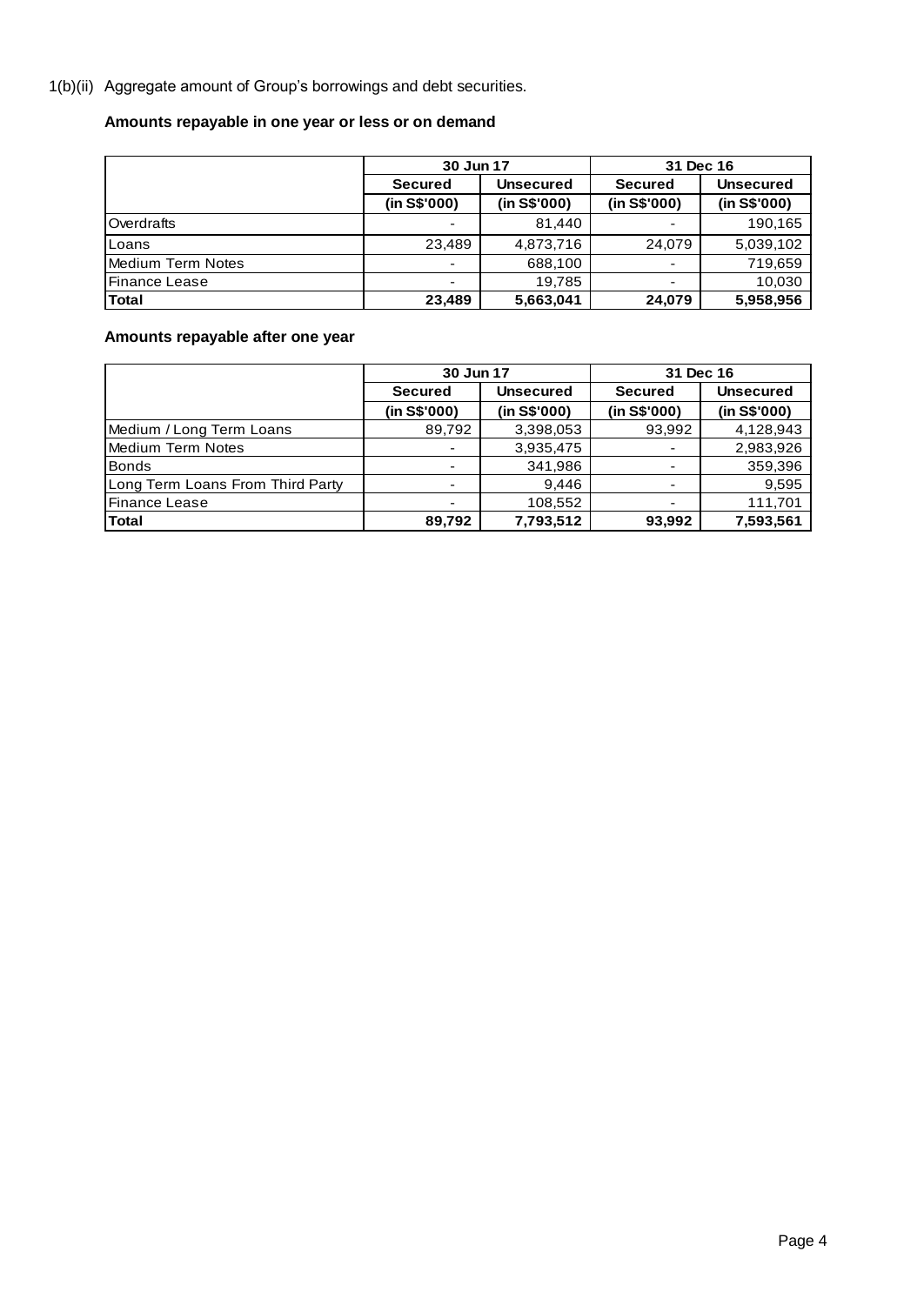1(b)(ii) Aggregate amount of Group's borrowings and debt securities.

# **Amounts repayable in one year or less or on demand**

|                      | 30 Jun 17                |                  | 31 Dec 16      |                  |
|----------------------|--------------------------|------------------|----------------|------------------|
|                      | <b>Secured</b>           | <b>Unsecured</b> | <b>Secured</b> | <b>Unsecured</b> |
|                      | (in S\$'000)             | (in S\$'000)     | (in S\$'000)   | (in S\$'000)     |
| Overdrafts           | $\overline{\phantom{0}}$ | 81.440           |                | 190,165          |
| Loans                | 23,489                   | 4,873,716        | 24,079         | 5,039,102        |
| Medium Term Notes    | $\overline{\phantom{0}}$ | 688,100          |                | 719,659          |
| <b>Finance Lease</b> | ٠                        | 19.785           | ٠              | 10,030           |
| Total                | 23.489                   | 5,663,041        | 24,079         | 5,958,956        |

**Amounts repayable after one year**

|                                  | 30 Jun 17      |                  | 31 Dec 16      |                  |
|----------------------------------|----------------|------------------|----------------|------------------|
|                                  | <b>Secured</b> | <b>Unsecured</b> | <b>Secured</b> | <b>Unsecured</b> |
|                                  | (in S\$'000)   | (in S\$'000)     | (in S\$'000)   | (in S\$'000)     |
| Medium / Long Term Loans         | 89,792         | 3,398,053        | 93,992         | 4,128,943        |
| Medium Term Notes                |                | 3,935,475        |                | 2,983,926        |
| <b>Bonds</b>                     |                | 341.986          |                | 359,396          |
| Long Term Loans From Third Party |                | 9.446            |                | 9,595            |
| Finance Lease                    |                | 108.552          |                | 111,701          |
| Total                            | 89,792         | 7,793,512        | 93,992         | 7,593,561        |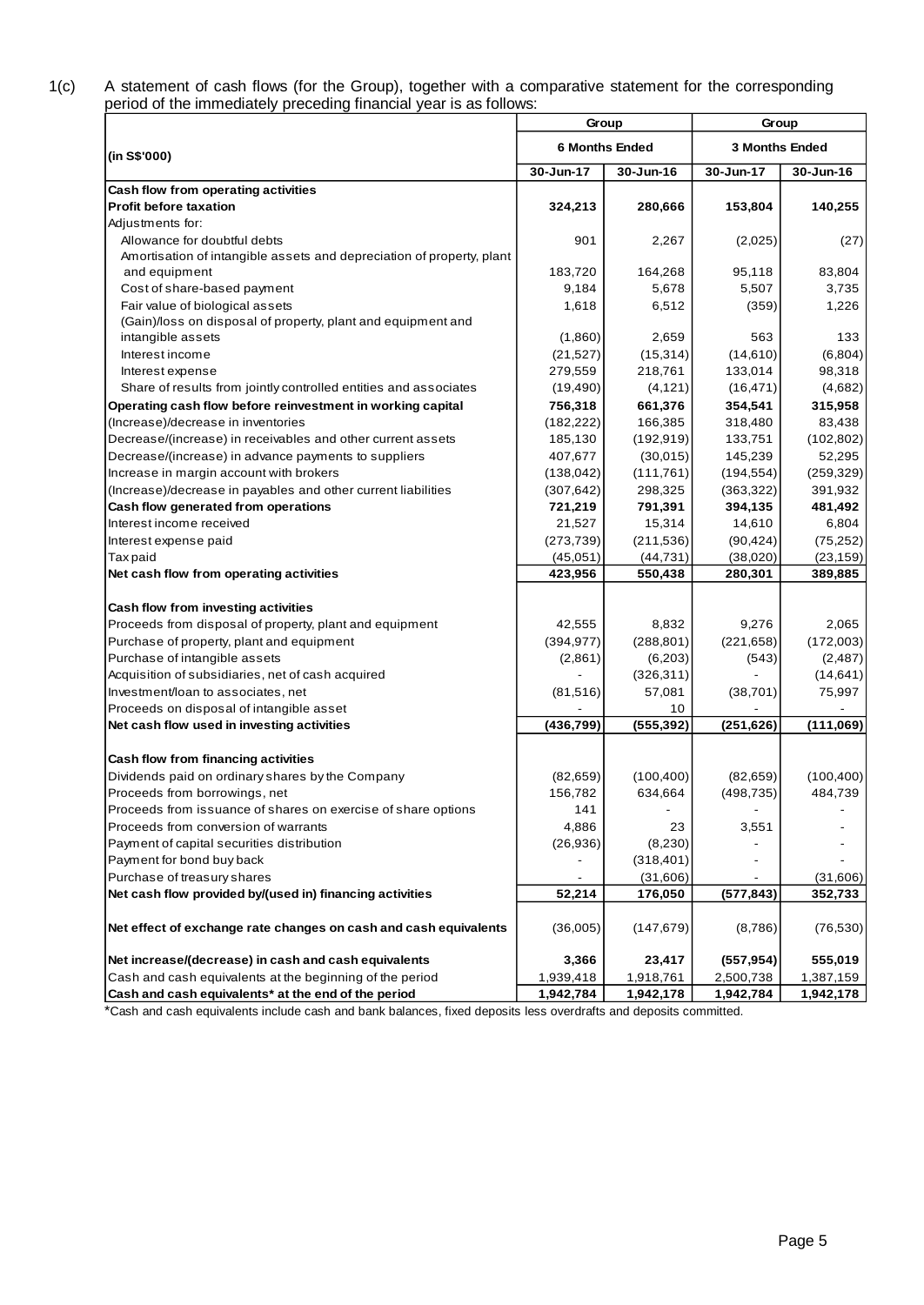#### 1(c) A statement of cash flows (for the Group), together with a comparative statement for the corresponding period of the immediately preceding financial year is as follows:

|                                                                       |            | Group                 | Group                 |            |
|-----------------------------------------------------------------------|------------|-----------------------|-----------------------|------------|
| (in S\$'000)                                                          |            | <b>6 Months Ended</b> | <b>3 Months Ended</b> |            |
|                                                                       | 30-Jun-17  | 30-Jun-16             | 30-Jun-17             | 30-Jun-16  |
| Cash flow from operating activities                                   |            |                       |                       |            |
| <b>Profit before taxation</b>                                         | 324,213    | 280,666               | 153,804               | 140,255    |
| Adjustments for:                                                      |            |                       |                       |            |
| Allowance for doubtful debts                                          | 901        | 2,267                 | (2,025)               | (27)       |
| Amortisation of intangible assets and depreciation of property, plant |            |                       |                       |            |
| and equipment                                                         | 183,720    | 164,268               | 95,118                | 83,804     |
| Cost of share-based payment                                           | 9,184      | 5,678                 | 5,507                 | 3,735      |
| Fair value of biological assets                                       | 1,618      | 6,512                 | (359)                 | 1,226      |
| (Gain)/loss on disposal of property, plant and equipment and          |            |                       |                       |            |
| intangible assets                                                     | (1,860)    | 2,659                 | 563                   | 133        |
| Interest income                                                       | (21, 527)  | (15, 314)             | (14, 610)             | (6,804)    |
| Interest expense                                                      | 279,559    | 218,761               | 133,014               | 98,318     |
| Share of results from jointly controlled entities and associates      | (19, 490)  | (4, 121)              | (16, 471)             | (4,682)    |
| Operating cash flow before reinvestment in working capital            | 756,318    | 661,376               | 354,541               | 315,958    |
| (Increase)/decrease in inventories                                    | (182, 222) | 166,385               | 318,480               | 83,438     |
| Decrease/(increase) in receivables and other current assets           | 185,130    | (192, 919)            | 133,751               | (102, 802) |
| Decrease/(increase) in advance payments to suppliers                  | 407,677    | (30,015)              | 145,239               | 52,295     |
| Increase in margin account with brokers                               | (138, 042) | (111, 761)            | (194, 554)            | (259, 329) |
| (Increase)/decrease in payables and other current liabilities         | (307, 642) | 298,325               | (363, 322)            | 391,932    |
| Cash flow generated from operations                                   | 721,219    | 791,391               | 394,135               | 481,492    |
| Interest income received                                              | 21,527     | 15,314                | 14,610                | 6,804      |
| Interest expense paid                                                 | (273, 739) | (211, 536)            | (90, 424)             | (75, 252)  |
| <b>Taxpaid</b>                                                        | (45,051)   | (44, 731)             | (38,020)              | (23, 159)  |
| Net cash flow from operating activities                               | 423,956    | 550,438               | 280,301               | 389,885    |
| Cash flow from investing activities                                   |            |                       |                       |            |
| Proceeds from disposal of property, plant and equipment               | 42,555     | 8,832                 | 9,276                 | 2,065      |
| Purchase of property, plant and equipment                             | (394, 977) | (288, 801)            | (221, 658)            | (172,003)  |
| Purchase of intangible assets                                         | (2,861)    | (6,203)               | (543)                 | (2, 487)   |
| Acquisition of subsidiaries, net of cash acquired                     |            | (326, 311)            |                       | (14, 641)  |
| Investment/loan to associates, net                                    | (81, 516)  | 57,081                | (38, 701)             | 75,997     |
| Proceeds on disposal of intangible asset                              |            | 10                    |                       |            |
| Net cash flow used in investing activities                            | (436, 799) | (555, 392)            | (251, 626)            | (111,069)  |
| Cash flow from financing activities                                   |            |                       |                       |            |
| Dividends paid on ordinary shares by the Company                      | (82, 659)  | (100, 400)            | (82, 659)             | (100, 400) |
| Proceeds from borrowings, net                                         | 156,782    | 634,664               | (498, 735)            | 484,739    |
| Proceeds from issuance of shares on exercise of share options         | 141        |                       |                       |            |
| Proceeds from conversion of warrants                                  | 4,886      | 23                    | 3,551                 |            |
| Payment of capital securities distribution                            | (26, 936)  | (8, 230)              |                       |            |
| Payment for bond buy back                                             |            | (318, 401)            |                       |            |
| Purchase of treasury shares                                           |            | (31,606)              |                       | (31,606)   |
| Net cash flow provided by/(used in) financing activities              | 52,214     | 176,050               | (577, 843)            | 352,733    |
| Net effect of exchange rate changes on cash and cash equivalents      | (36,005)   | (147, 679)            | (8,786)               | (76, 530)  |
| Net increase/(decrease) in cash and cash equivalents                  | 3,366      | 23,417                | (557, 954)            | 555,019    |
| Cash and cash equivalents at the beginning of the period              | 1,939,418  | 1,918,761             | 2,500,738             | 1,387,159  |
| Cash and cash equivalents* at the end of the period                   | 1,942,784  | 1,942,178             | 1,942,784             | 1,942,178  |

\*Cash and cash equivalents include cash and bank balances, fixed deposits less overdrafts and deposits committed.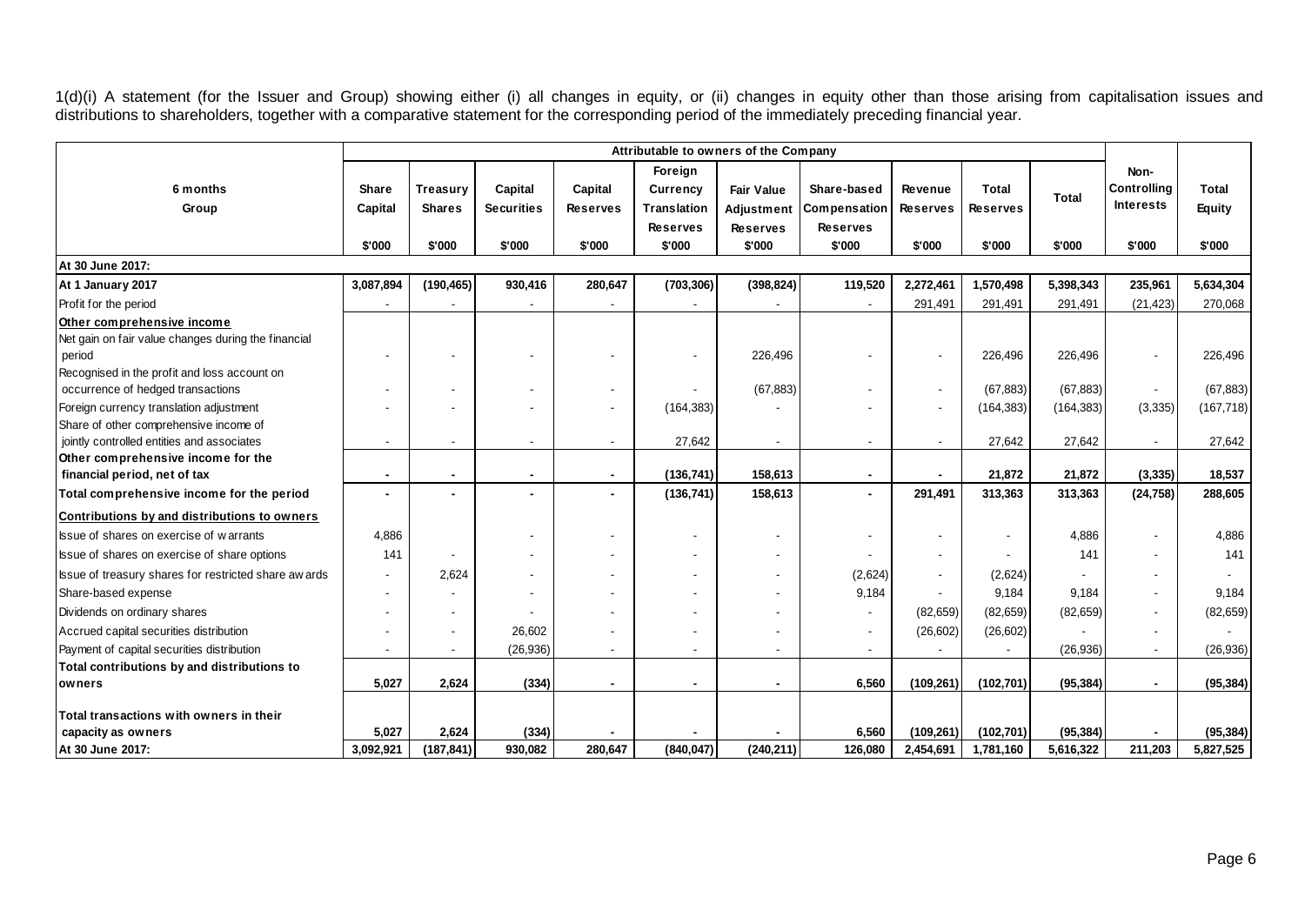1(d)(i) A statement (for the Issuer and Group) showing either (i) all changes in equity, or (ii) changes in equity other than those arising from capitalisation issues and distributions to shareholders, together with a comparative statement for the corresponding period of the immediately preceding financial year.

|                                                       |              |                |                   |                 | Attributable to owners of the Company |                   |                 |                 |                 |              |                    |               |
|-------------------------------------------------------|--------------|----------------|-------------------|-----------------|---------------------------------------|-------------------|-----------------|-----------------|-----------------|--------------|--------------------|---------------|
|                                                       |              |                |                   |                 | Foreign                               |                   |                 |                 |                 |              | Non-               |               |
| 6 months                                              | <b>Share</b> | Treasury       | Capital           | Capital         | <b>Currency</b>                       | <b>Fair Value</b> | Share-based     | Revenue         | <b>Total</b>    |              | <b>Controlling</b> | <b>Total</b>  |
| Group                                                 | Capital      | <b>Shares</b>  | <b>Securities</b> | <b>Reserves</b> | <b>Translation</b>                    | Adjustment        | Compensation    | <b>Reserves</b> | <b>Reserves</b> | <b>Total</b> | <b>Interests</b>   | <b>Equity</b> |
|                                                       |              |                |                   |                 | <b>Reserves</b>                       | <b>Reserves</b>   | <b>Reserves</b> |                 |                 |              |                    |               |
|                                                       | \$'000       | \$'000         | \$'000            | \$'000          | \$'000                                | \$'000            | \$'000          | \$'000          | \$'000          | \$'000       | \$'000             | \$'000        |
| At 30 June 2017:                                      |              |                |                   |                 |                                       |                   |                 |                 |                 |              |                    |               |
| At 1 January 2017                                     | 3,087,894    | (190, 465)     | 930,416           | 280,647         | (703, 306)                            | (398, 824)        | 119,520         | 2,272,461       | 1,570,498       | 5,398,343    | 235,961            | 5,634,304     |
| Profit for the period                                 |              |                |                   |                 |                                       |                   |                 | 291,491         | 291,491         | 291,491      | (21, 423)          | 270,068       |
| Other comprehensive income                            |              |                |                   |                 |                                       |                   |                 |                 |                 |              |                    |               |
| Net gain on fair value changes during the financial   |              |                |                   |                 |                                       |                   |                 |                 |                 |              |                    |               |
| period                                                |              |                |                   |                 |                                       | 226,496           |                 |                 | 226,496         | 226,496      |                    | 226,496       |
| Recognised in the profit and loss account on          |              |                |                   |                 |                                       |                   |                 |                 |                 |              |                    |               |
| occurrence of hedged transactions                     |              |                |                   |                 |                                       | (67, 883)         |                 | $\blacksquare$  | (67, 883)       | (67, 883)    |                    | (67, 883)     |
| Foreign currency translation adjustment               |              |                |                   |                 | (164, 383)                            |                   |                 |                 | (164, 383)      | (164, 383)   | (3, 335)           | (167, 718)    |
| Share of other comprehensive income of                |              |                |                   |                 |                                       |                   |                 |                 |                 |              |                    |               |
| jointly controlled entities and associates            |              |                |                   |                 | 27,642                                | $\blacksquare$    |                 |                 | 27,642          | 27,642       |                    | 27,642        |
| Other comprehensive income for the                    |              |                |                   |                 | (136, 741)                            | 158,613           |                 |                 | 21,872          | 21.872       |                    | 18,537        |
| financial period, net of tax                          |              |                |                   |                 |                                       |                   |                 |                 |                 |              | (3, 335)           |               |
| Total comprehensive income for the period             |              |                |                   |                 | (136, 741)                            | 158,613           |                 | 291,491         | 313,363         | 313,363      | (24, 758)          | 288,605       |
| Contributions by and distributions to owners          |              |                |                   |                 |                                       |                   |                 |                 |                 |              |                    |               |
| Issue of shares on exercise of warrants               | 4,886        |                |                   |                 |                                       |                   |                 |                 |                 | 4,886        |                    | 4,886         |
| Issue of shares on exercise of share options          | 141          |                |                   |                 |                                       | $\sim$            |                 |                 |                 | 141          |                    | 141           |
| Issue of treasury shares for restricted share aw ards |              | 2,624          |                   |                 | $\overline{\phantom{a}}$              |                   | (2,624)         | $\sim$          | (2,624)         |              |                    |               |
| Share-based expense                                   |              |                |                   |                 |                                       |                   | 9,184           |                 | 9,184           | 9,184        |                    | 9,184         |
| Dividends on ordinary shares                          |              |                |                   |                 |                                       |                   |                 | (82, 659)       | (82, 659)       | (82, 659)    |                    | (82, 659)     |
| Accrued capital securities distribution               |              |                | 26.602            |                 |                                       |                   |                 | (26, 602)       | (26, 602)       |              |                    |               |
| Payment of capital securities distribution            |              | $\blacksquare$ | (26, 936)         |                 | $\blacksquare$                        |                   |                 |                 |                 | (26, 936)    | $\blacksquare$     | (26, 936)     |
| Total contributions by and distributions to           |              |                |                   |                 |                                       |                   |                 |                 |                 |              |                    |               |
| owners                                                | 5,027        | 2,624          | (334)             |                 |                                       |                   | 6,560           | (109, 261)      | (102, 701)      | (95, 384)    |                    | (95, 384)     |
|                                                       |              |                |                   |                 |                                       |                   |                 |                 |                 |              |                    |               |
| Total transactions with owners in their               |              |                |                   |                 |                                       |                   |                 |                 |                 |              |                    |               |
| capacity as owners                                    | 5,027        | 2,624          | (334)<br>930.082  | 280.647         | (840.047)                             |                   | 6,560           | (109, 261)      | (102, 701)      | (95, 384)    | 211,203            | (95, 384)     |
| At 30 June 2017:                                      | 3,092,921    | (187, 841)     |                   |                 |                                       | (240, 211)        | 126,080         | 2,454,691       | 1,781,160       | 5,616,322    |                    | 5,827,525     |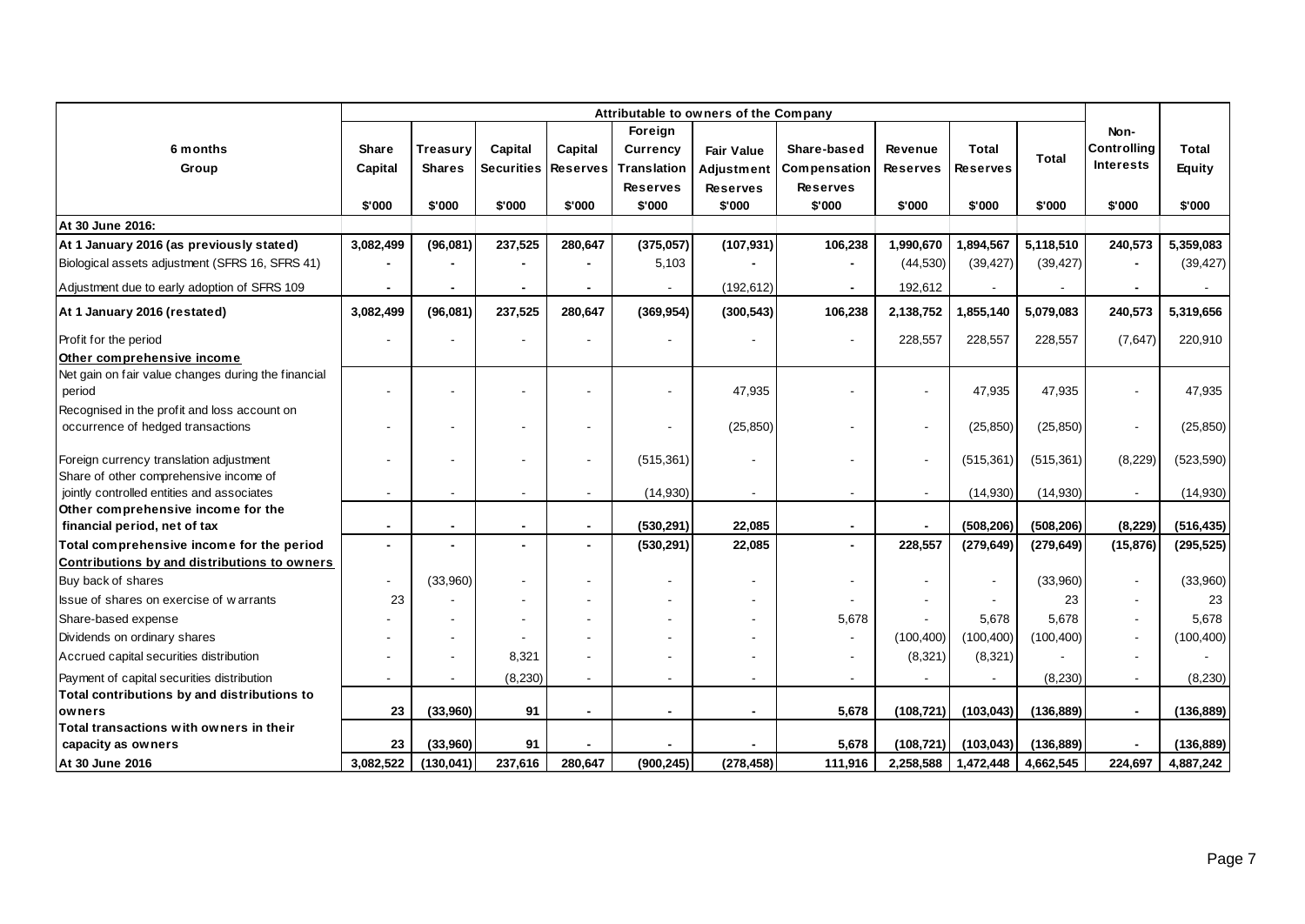|                                                                    | Attributable to owners of the Company |                |                   |                          |                    |                   |                 |                          |                 |              |                    |               |
|--------------------------------------------------------------------|---------------------------------------|----------------|-------------------|--------------------------|--------------------|-------------------|-----------------|--------------------------|-----------------|--------------|--------------------|---------------|
|                                                                    |                                       |                |                   |                          | Foreign            |                   |                 |                          |                 |              | Non-               |               |
| 6 months                                                           | Share                                 | Treasury       | Capital           | Capital                  | Currency           | <b>Fair Value</b> | Share-based     | <b>Revenue</b>           | Total           | <b>Total</b> | <b>Controllina</b> | Total         |
| Group                                                              | Capital                               | Shares         | <b>Securities</b> | <b>Reserves</b>          | <b>Translation</b> | Adjustment        | Compensation    | <b>Reserves</b>          | <b>Reserves</b> |              | <b>Interests</b>   | <b>Equity</b> |
|                                                                    |                                       |                |                   |                          | <b>Reserves</b>    | <b>Reserves</b>   | <b>Reserves</b> |                          |                 |              |                    |               |
|                                                                    | \$'000                                | \$'000         | \$'000            | \$'000                   | \$'000             | \$'000            | \$'000          | \$'000                   | \$'000          | \$'000       | \$'000             | \$'000        |
| At 30 June 2016:                                                   |                                       |                |                   |                          |                    |                   |                 |                          |                 |              |                    |               |
| At 1 January 2016 (as previously stated)                           | 3,082,499                             | (96,081)       | 237,525           | 280,647                  | (375,057)          | (107, 931)        | 106,238         | 1,990,670                | 1,894,567       | 5,118,510    | 240,573            | 5,359,083     |
| Biological assets adjustment (SFRS 16, SFRS 41)                    |                                       |                |                   |                          | 5,103              |                   |                 | (44, 530)                | (39, 427)       | (39, 427)    |                    | (39, 427)     |
| Adjustment due to early adoption of SFRS 109                       |                                       |                |                   |                          |                    | (192, 612)        |                 | 192,612                  |                 |              |                    |               |
| At 1 January 2016 (restated)                                       | 3,082,499                             | (96,081)       | 237,525           | 280.647                  | (369, 954)         | (300, 543)        | 106,238         | 2,138,752                | 1,855,140       | 5,079,083    | 240,573            | 5,319,656     |
| Profit for the period                                              |                                       |                |                   |                          |                    |                   |                 | 228,557                  | 228,557         | 228,557      | (7,647)            | 220,910       |
| Other comprehensive income                                         |                                       |                |                   |                          |                    |                   |                 |                          |                 |              |                    |               |
| Net gain on fair value changes during the financial<br>period      |                                       |                |                   |                          |                    | 47,935            |                 |                          | 47.935          | 47,935       |                    | 47,935        |
| Recognised in the profit and loss account on                       |                                       |                |                   |                          |                    |                   |                 |                          |                 |              |                    |               |
| occurrence of hedged transactions                                  |                                       |                |                   |                          |                    | (25, 850)         |                 | $\overline{\phantom{a}}$ | (25, 850)       | (25, 850)    |                    | (25, 850)     |
| Foreign currency translation adjustment                            |                                       |                |                   |                          | (515, 361)         |                   |                 |                          | (515, 361)      | (515, 361)   | (8,229)            | (523, 590)    |
| Share of other comprehensive income of                             |                                       |                |                   |                          |                    |                   |                 |                          |                 |              |                    |               |
| jointly controlled entities and associates                         |                                       |                |                   |                          | (14,930)           | $\blacksquare$    |                 |                          | (14,930)        | (14,930)     |                    | (14,930)      |
| Other comprehensive income for the<br>financial period, net of tax | $\blacksquare$                        | $\blacksquare$ | $\blacksquare$    | $\blacksquare$           | (530, 291)         | 22,085            | $\blacksquare$  | $\blacksquare$           | (508, 206)      | (508, 206)   | (8, 229)           | (516, 435)    |
| Total comprehensive income for the period                          | $\blacksquare$                        |                |                   | $\blacksquare$           | (530, 291)         | 22,085            |                 | 228,557                  | (279, 649)      | (279, 649)   | (15, 876)          | (295, 525)    |
| Contributions by and distributions to owners                       |                                       |                |                   |                          |                    |                   |                 |                          |                 |              |                    |               |
| Buy back of shares                                                 | $\blacksquare$                        | (33,960)       |                   |                          |                    | ÷.                |                 |                          |                 | (33,960)     |                    | (33,960)      |
| Issue of shares on exercise of warrants                            | 23                                    |                |                   |                          |                    |                   |                 |                          |                 | 23           |                    | 23            |
| Share-based expense                                                |                                       |                |                   |                          |                    |                   | 5,678           |                          | 5,678           | 5,678        |                    | 5,678         |
| Dividends on ordinary shares                                       |                                       |                |                   |                          |                    |                   |                 | (100, 400)               | (100, 400)      | (100, 400)   |                    | (100, 400)    |
| Accrued capital securities distribution                            |                                       |                | 8,321             |                          |                    |                   |                 | (8, 321)                 | (8,321)         |              |                    |               |
| Payment of capital securities distribution                         | $\blacksquare$                        |                | (8,230)           | $\overline{\phantom{a}}$ |                    | ÷,                |                 |                          |                 | (8,230)      |                    | (8,230)       |
| Total contributions by and distributions to                        |                                       |                |                   |                          |                    |                   |                 |                          |                 |              |                    |               |
| owners                                                             | 23                                    | (33,960)       | 91                | $\blacksquare$           |                    | $\blacksquare$    | 5,678           | (108, 721)               | (103, 043)      | (136, 889)   |                    | (136,889)     |
| Total transactions with owners in their                            |                                       |                |                   |                          |                    |                   |                 |                          |                 |              |                    |               |
| capacity as owners                                                 | 23                                    | (33,960)       | 91                |                          |                    |                   | 5,678           | (108, 721)               | (103, 043)      | (136, 889)   |                    | (136, 889)    |
| At 30 June 2016                                                    | 3,082,522                             | (130, 041)     | 237,616           | 280.647                  | (900, 245)         | (278, 458)        | 111,916         | 2,258,588                | 1,472,448       | 4,662,545    | 224.697            | 4,887,242     |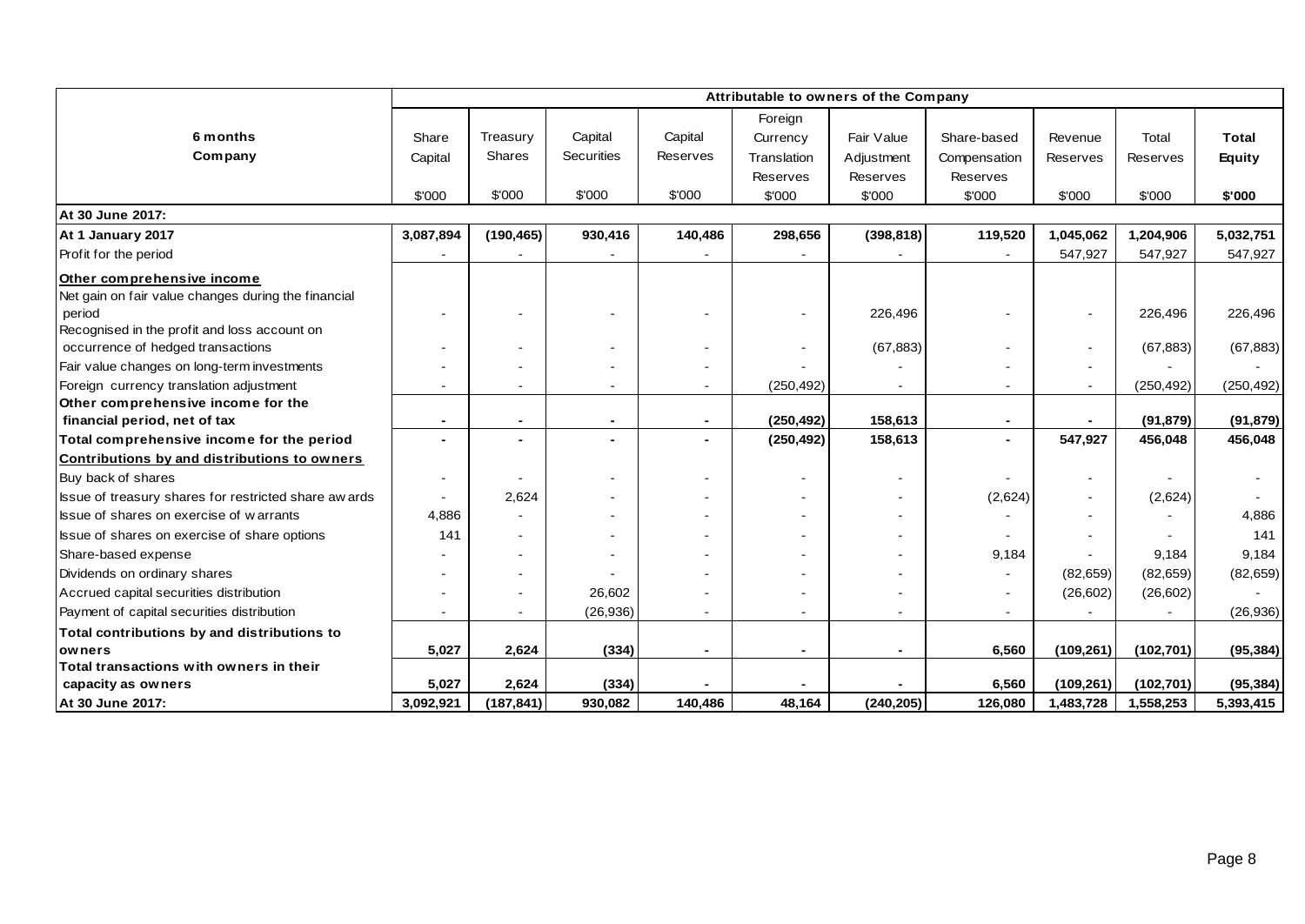|                                                       |                          |                |                   |                | Attributable to owners of the Company |                |                          |            |            |               |
|-------------------------------------------------------|--------------------------|----------------|-------------------|----------------|---------------------------------------|----------------|--------------------------|------------|------------|---------------|
|                                                       |                          |                |                   |                | Foreign                               |                |                          |            |            |               |
| 6 months                                              | Share                    | Treasury       | Capital           | Capital        | Currency                              | Fair Value     | Share-based              | Revenue    | Total      | <b>Total</b>  |
| Company                                               | Capital                  | Shares         | <b>Securities</b> | Reserves       | Translation                           | Adjustment     | Compensation             | Reserves   | Reserves   | <b>Equity</b> |
|                                                       |                          |                |                   |                | <b>Reserves</b>                       | Reserves       | Reserves                 |            |            |               |
|                                                       | \$'000                   | \$'000         | \$'000            | \$'000         | \$'000                                | \$'000         | \$'000                   | \$'000     | \$'000     | \$'000        |
| At 30 June 2017:                                      |                          |                |                   |                |                                       |                |                          |            |            |               |
| At 1 January 2017                                     | 3,087,894                | (190, 465)     | 930,416           | 140,486        | 298,656                               | (398, 818)     | 119,520                  | 1,045,062  | 1,204,906  | 5,032,751     |
| Profit for the period                                 |                          |                |                   |                |                                       |                |                          | 547,927    | 547,927    | 547,927       |
| Other comprehensive income                            |                          |                |                   |                |                                       |                |                          |            |            |               |
| Net gain on fair value changes during the financial   |                          |                |                   |                |                                       |                |                          |            |            |               |
| period                                                |                          |                |                   |                |                                       | 226,496        |                          |            | 226,496    | 226,496       |
| Recognised in the profit and loss account on          |                          |                |                   |                |                                       |                |                          |            |            |               |
| occurrence of hedged transactions                     |                          |                | $\blacksquare$    |                |                                       | (67, 883)      |                          |            | (67, 883)  | (67, 883)     |
| Fair value changes on long-term investments           |                          |                |                   |                |                                       |                |                          |            |            |               |
| Foreign currency translation adjustment               |                          |                | $\blacksquare$    | $\blacksquare$ | (250, 492)                            |                | $\sim$                   |            | (250, 492) | (250, 492)    |
| Other comprehensive income for the                    |                          |                |                   |                |                                       |                |                          |            |            |               |
| financial period, net of tax                          | $\overline{\phantom{a}}$ | $\blacksquare$ | $\blacksquare$    |                | (250, 492)                            | 158,613        | $\overline{\phantom{a}}$ |            | (91, 879)  | (91, 879)     |
| Total comprehensive income for the period             |                          |                |                   |                | (250, 492)                            | 158,613        | $\blacksquare$           | 547,927    | 456,048    | 456,048       |
| Contributions by and distributions to owners          |                          |                |                   |                |                                       |                |                          |            |            |               |
| Buy back of shares                                    | $\blacksquare$           |                | $\blacksquare$    | ٠              |                                       |                |                          |            |            |               |
| Issue of treasury shares for restricted share aw ards |                          | 2,624          |                   |                |                                       |                | (2,624)                  |            | (2,624)    |               |
| Issue of shares on exercise of warrants               | 4,886                    |                |                   |                |                                       |                |                          |            |            | 4,886         |
| Issue of shares on exercise of share options          | 141                      |                |                   |                |                                       |                |                          |            |            | 141           |
| Share-based expense                                   |                          |                |                   |                |                                       |                | 9,184                    |            | 9,184      | 9,184         |
| Dividends on ordinary shares                          |                          |                |                   |                |                                       |                |                          | (82, 659)  | (82, 659)  | (82, 659)     |
| Accrued capital securities distribution               |                          |                | 26,602            |                |                                       |                | $\sim$                   | (26, 602)  | (26, 602)  |               |
| Payment of capital securities distribution            |                          |                | (26, 936)         |                |                                       |                | $\sim$                   |            |            | (26, 936)     |
| Total contributions by and distributions to           |                          |                |                   |                |                                       |                |                          |            |            |               |
| owners                                                | 5,027                    | 2,624          | (334)             | $\blacksquare$ | $\blacksquare$                        | $\blacksquare$ | 6,560                    | (109, 261) | (102, 701) | (95, 384)     |
| Total transactions with owners in their               |                          |                |                   |                |                                       |                |                          |            |            |               |
| capacity as owners                                    | 5,027                    | 2,624          | (334)             |                |                                       |                | 6,560                    | (109, 261) | (102, 701) | (95, 384)     |
| At 30 June 2017:                                      | 3,092,921                | (187, 841)     | 930,082           | 140,486        | 48,164                                | (240, 205)     | 126,080                  | 1,483,728  | 1,558,253  | 5,393,415     |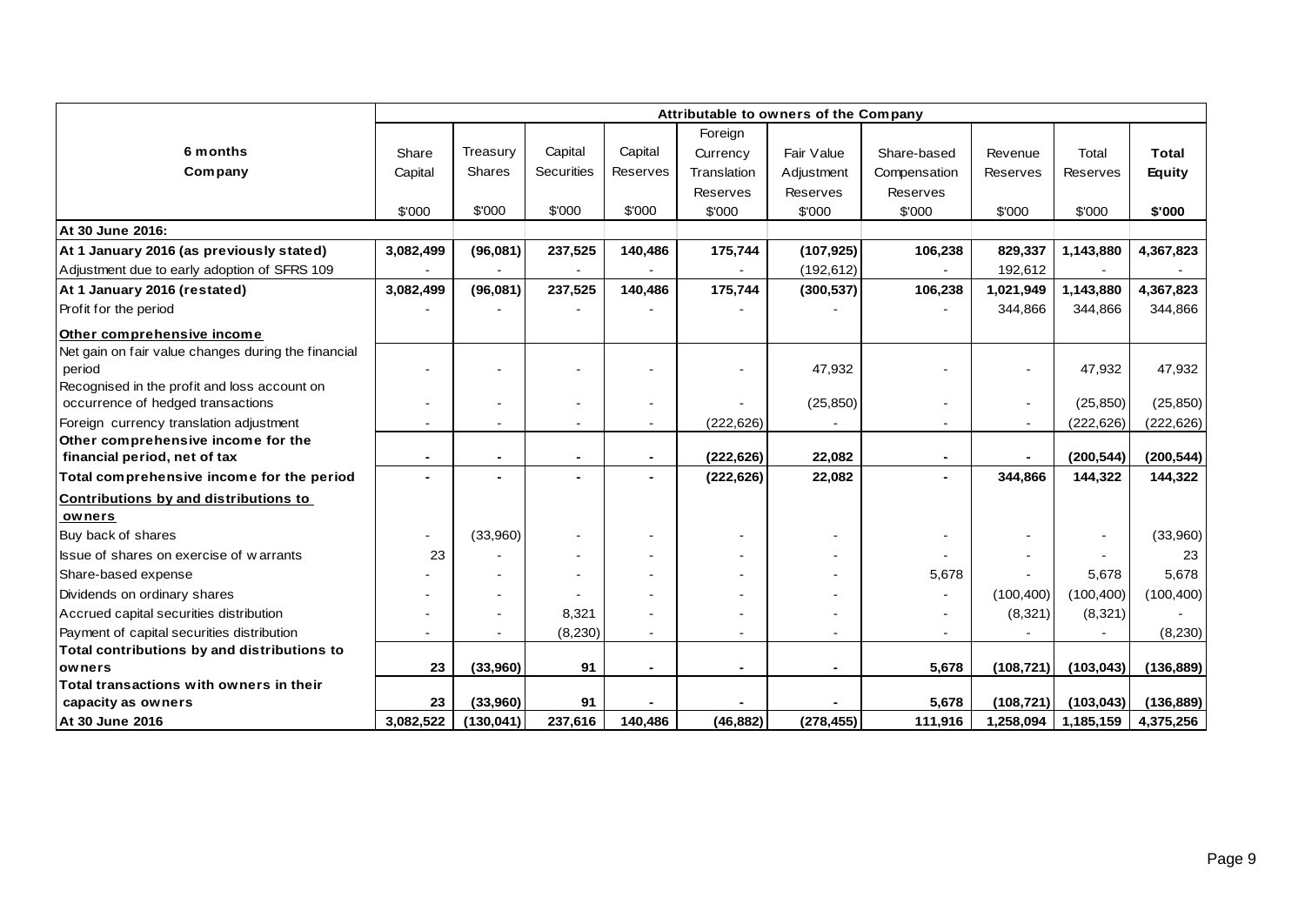|                                                     |                              |               |                   |                |                 | Attributable to owners of the Company |                          |                 |                 |               |
|-----------------------------------------------------|------------------------------|---------------|-------------------|----------------|-----------------|---------------------------------------|--------------------------|-----------------|-----------------|---------------|
|                                                     |                              |               |                   |                | Foreign         |                                       |                          |                 |                 |               |
| 6 months                                            | Share                        | Treasury      | Capital           | Capital        | Currency        | Fair Value                            | Share-based              | Revenue         | Total           | <b>Total</b>  |
| Company                                             | Capital                      | <b>Shares</b> | <b>Securities</b> | Reserves       | Translation     | Adjustment                            | Compensation             | <b>Reserves</b> | <b>Reserves</b> | <b>Equity</b> |
|                                                     |                              |               |                   |                | <b>Reserves</b> | Reserves                              | Reserves                 |                 |                 |               |
|                                                     | \$'000                       | \$'000        | \$'000            | \$'000         | \$'000          | \$'000                                | \$'000                   | \$'000          | \$'000          | \$'000        |
| At 30 June 2016:                                    |                              |               |                   |                |                 |                                       |                          |                 |                 |               |
| At 1 January 2016 (as previously stated)            | 3,082,499                    | (96,081)      | 237,525           | 140,486        | 175,744         | (107, 925)                            | 106,238                  | 829,337         | 1,143,880       | 4,367,823     |
| Adjustment due to early adoption of SFRS 109        |                              |               |                   |                |                 | (192, 612)                            |                          | 192,612         |                 |               |
| At 1 January 2016 (restated)                        | 3,082,499                    | (96,081)      | 237,525           | 140,486        | 175,744         | (300, 537)                            | 106,238                  | 1,021,949       | 1,143,880       | 4,367,823     |
| Profit for the period                               |                              |               |                   |                |                 |                                       |                          | 344,866         | 344,866         | 344,866       |
| Other comprehensive income                          |                              |               |                   |                |                 |                                       |                          |                 |                 |               |
| Net gain on fair value changes during the financial |                              |               |                   |                |                 |                                       |                          |                 |                 |               |
| period                                              |                              |               |                   |                |                 | 47,932                                |                          |                 | 47,932          | 47,932        |
| Recognised in the profit and loss account on        |                              |               |                   |                |                 |                                       |                          |                 |                 |               |
| occurrence of hedged transactions                   |                              |               |                   |                |                 | (25, 850)                             |                          | $\blacksquare$  | (25, 850)       | (25, 850)     |
| Foreign currency translation adjustment             | $\blacksquare$               |               | $\blacksquare$    | $\blacksquare$ | (222, 626)      | $\overline{\phantom{a}}$              |                          | $\sim$          | (222, 626)      | (222, 626)    |
| Other comprehensive income for the                  |                              |               |                   |                |                 |                                       |                          |                 |                 |               |
| financial period, net of tax                        | $\blacksquare$               |               | $\blacksquare$    | ٠              | (222, 626)      | 22,082                                |                          | ۰               | (200, 544)      | (200, 544)    |
| Total comprehensive income for the period           | ٠                            |               | $\blacksquare$    |                | (222, 626)      | 22,082                                | $\overline{\phantom{0}}$ | 344,866         | 144,322         | 144,322       |
| Contributions by and distributions to               |                              |               |                   |                |                 |                                       |                          |                 |                 |               |
| owners                                              |                              |               |                   |                |                 |                                       |                          |                 |                 |               |
| Buy back of shares                                  |                              | (33,960)      |                   |                |                 |                                       |                          |                 | $\blacksquare$  | (33,960)      |
| Issue of shares on exercise of warrants             | 23                           |               |                   |                |                 |                                       |                          |                 |                 | 23            |
| Share-based expense                                 |                              |               |                   |                |                 |                                       | 5,678                    |                 | 5,678           | 5,678         |
| Dividends on ordinary shares                        |                              |               |                   |                |                 |                                       |                          | (100, 400)      | (100, 400)      | (100, 400)    |
| Accrued capital securities distribution             |                              |               | 8,321             |                |                 |                                       |                          | (8,321)         | (8,321)         |               |
| Payment of capital securities distribution          | $\qquad \qquad \blacksquare$ |               | (8, 230)          | $\blacksquare$ |                 |                                       |                          |                 |                 | (8, 230)      |
| Total contributions by and distributions to         |                              |               |                   |                |                 |                                       |                          |                 |                 |               |
| owners                                              | 23                           | (33,960)      | 91                | $\blacksquare$ | $\blacksquare$  | $\blacksquare$                        | 5,678                    | (108, 721)      | (103, 043)      | (136, 889)    |
| Total transactions with owners in their             |                              |               |                   |                |                 |                                       |                          |                 |                 |               |
| capacity as owners                                  | 23                           | (33,960)      | 91                |                |                 |                                       | 5,678                    | (108, 721)      | (103, 043)      | (136, 889)    |
| At 30 June 2016                                     | 3,082,522                    | (130, 041)    | 237,616           | 140.486        | (46, 882)       | (278, 455)                            | 111,916                  | 1,258,094       | 1,185,159       | 4,375,256     |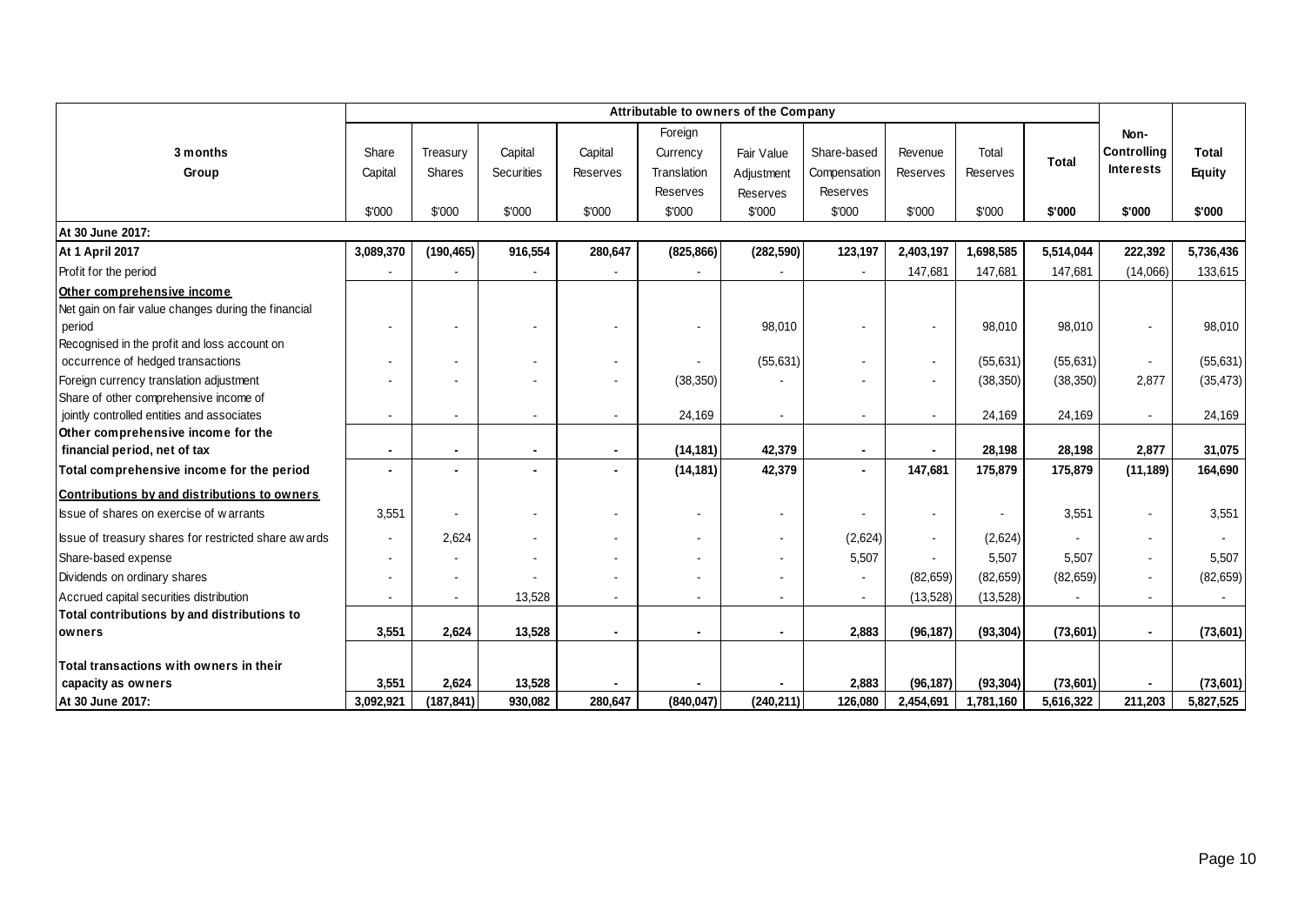|                                                       |                |                     |                |                | Foreign        |            |                  |           |                        |                       | Non-             |                       |
|-------------------------------------------------------|----------------|---------------------|----------------|----------------|----------------|------------|------------------|-----------|------------------------|-----------------------|------------------|-----------------------|
| 3 months                                              | Share          | Treasury            | Capital        | Capital        | Currency       | Fair Value | Share-based      | Revenue   | Total                  | <b>Total</b>          | Controlling      | <b>Total</b>          |
| Group                                                 | Capital        | Shares              | Securities     | Reserves       | Translation    | Adjustment | Compensation     | Reserves  | Reserves               |                       | <b>Interests</b> | <b>Equity</b>         |
|                                                       |                |                     |                |                | Reserves       | Reserves   | <b>Reserves</b>  |           |                        |                       |                  |                       |
|                                                       | \$'000         | \$'000              | \$'000         | \$'000         | \$'000         | \$'000     | \$'000           | \$'000    | \$'000                 | \$'000                | \$'000           | \$'000                |
| At 30 June 2017:                                      |                |                     |                |                |                |            |                  |           |                        |                       |                  |                       |
| At 1 April 2017                                       | 3,089,370      | (190, 465)          | 916,554        | 280,647        | (825, 866)     | (282, 590) | 123,197          | 2,403,197 | 1,698,585              | 5,514,044             | 222,392          | 5,736,436             |
| Profit for the period                                 |                |                     |                |                |                |            |                  | 147,681   | 147,681                | 147,681               | (14,066)         | 133,615               |
| Other comprehensive income                            |                |                     |                |                |                |            |                  |           |                        |                       |                  |                       |
| Net gain on fair value changes during the financial   |                |                     |                |                |                |            |                  |           |                        |                       |                  |                       |
| period                                                |                |                     |                |                | $\blacksquare$ | 98,010     |                  |           | 98,010                 | 98,010                |                  | 98,010                |
| Recognised in the profit and loss account on          |                |                     |                |                |                |            |                  |           |                        |                       |                  |                       |
| occurrence of hedged transactions                     |                |                     |                |                |                | (55, 631)  |                  |           | (55,631)               | (55, 631)             |                  | (55, 631)             |
| Foreign currency translation adjustment               |                |                     |                |                | (38, 350)      |            |                  |           | (38, 350)              | (38, 350)             | 2,877            | (35, 473)             |
| Share of other comprehensive income of                |                |                     |                |                |                |            |                  |           |                        |                       |                  |                       |
| jointly controlled entities and associates            |                |                     |                |                | 24,169         |            |                  |           | 24,169                 | 24,169                |                  | 24,169                |
| Other comprehensive income for the                    |                |                     |                |                |                |            |                  |           |                        |                       |                  |                       |
| financial period, net of tax                          | $\blacksquare$ |                     | $\blacksquare$ | $\blacksquare$ | (14, 181)      | 42,379     | $\blacksquare$   |           | 28,198                 | 28,198                | 2,877            | 31,075                |
| Total comprehensive income for the period             |                |                     |                |                | (14, 181)      | 42,379     |                  | 147,681   | 175,879                | 175,879               | (11, 189)        | 164,690               |
| Contributions by and distributions to owners          |                |                     |                |                |                |            |                  |           |                        |                       |                  |                       |
| Issue of shares on exercise of warrants               | 3,551          |                     |                |                | $\blacksquare$ |            |                  |           |                        | 3,551                 |                  | 3,551                 |
| Issue of treasury shares for restricted share aw ards | $\sim$         | 2,624               |                |                | $\blacksquare$ |            | (2,624)          |           | (2,624)                |                       |                  |                       |
| Share-based expense                                   |                |                     |                |                |                |            | 5,507            |           | 5,507                  | 5,507                 |                  | 5,507                 |
| Dividends on ordinary shares                          |                |                     |                |                |                |            |                  | (82, 659) | (82, 659)              | (82, 659)             |                  | (82, 659)             |
| Accrued capital securities distribution               |                |                     | 13,528         | $\overline{a}$ | $\overline{a}$ |            |                  | (13, 528) | (13,528)               |                       |                  |                       |
| Total contributions by and distributions to           |                |                     |                |                |                |            |                  |           |                        |                       |                  |                       |
| owners                                                | 3,551          | 2,624               | 13,528         | ٠              | $\blacksquare$ |            | 2,883            | (96, 187) | (93, 304)              | (73, 601)             |                  | (73,601)              |
| Total transactions with owners in their               |                |                     |                |                |                |            |                  |           |                        |                       |                  |                       |
|                                                       | 3,551          |                     | 13,528         |                |                |            |                  | (96, 187) |                        |                       |                  |                       |
| capacity as owners<br>At 30 June 2017:                | 3,092,921      | 2,624<br>(187, 841) | 930,082        | 280,647        | (840, 047)     | (240, 211) | 2,883<br>126,080 | 2,454,691 | (93, 304)<br>1,781,160 | (73,601)<br>5,616,322 | 211,203          | (73,601)<br>5,827,525 |
|                                                       |                |                     |                |                |                |            |                  |           |                        |                       |                  |                       |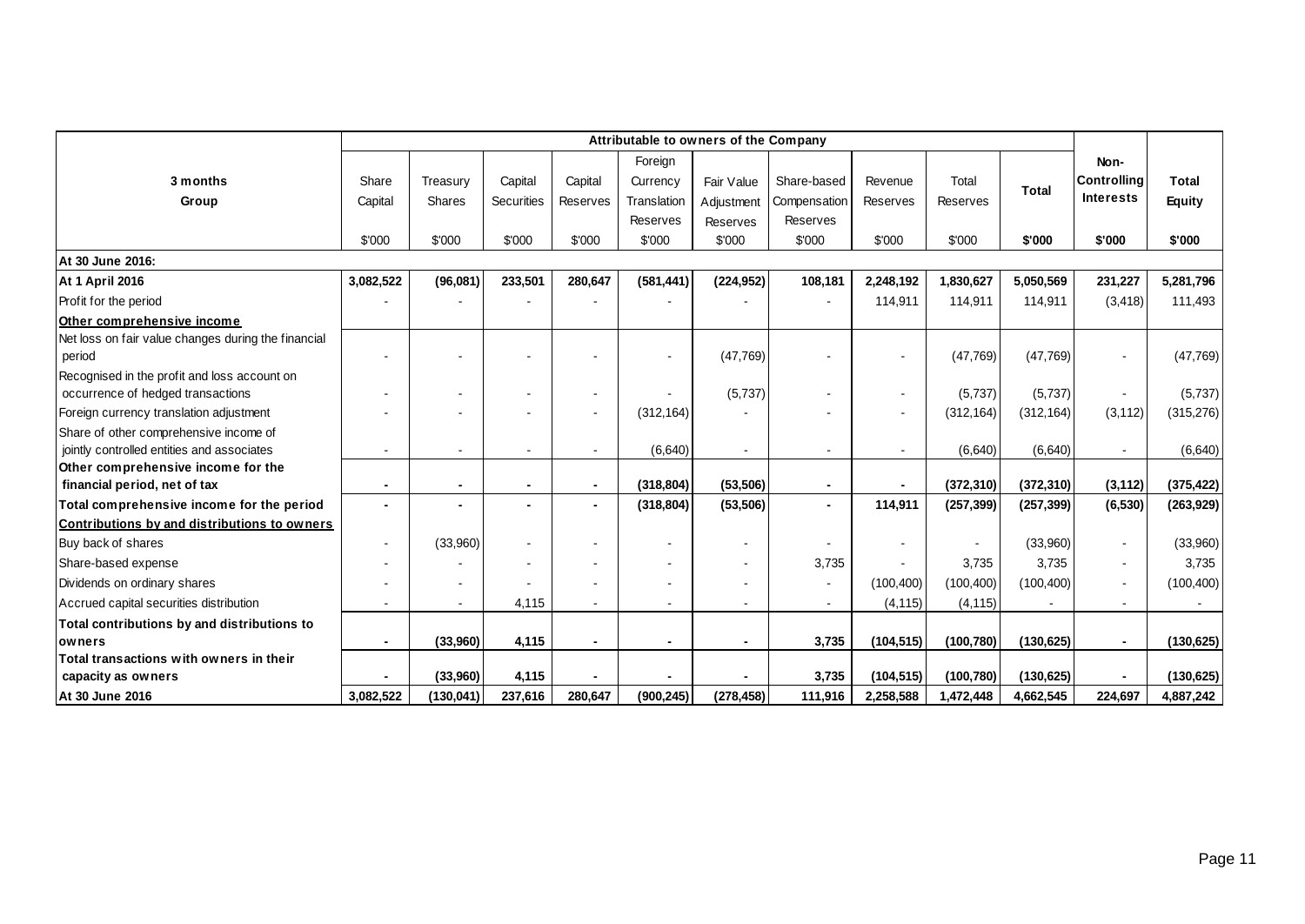|                                                     |                |            |                          |                 |                | Attributable to owners of the Company |                |                          |            |              |                    |               |
|-----------------------------------------------------|----------------|------------|--------------------------|-----------------|----------------|---------------------------------------|----------------|--------------------------|------------|--------------|--------------------|---------------|
|                                                     |                |            |                          |                 | Foreign        |                                       |                |                          |            |              | Non-               |               |
| 3 months                                            | Share          | Treasury   | Capital                  | Capital         | Currency       | Fair Value                            | Share-based    | Revenue                  | Total      | <b>Total</b> | <b>Controlling</b> | <b>Total</b>  |
| Group                                               | Capital        | Shares     | Securities               | <b>Reserves</b> | Translation    | Adjustment                            | Compensation   | Reserves                 | Reserves   |              | <b>Interests</b>   | <b>Equity</b> |
|                                                     |                |            |                          |                 | Reserves       | Reserves                              | Reserves       |                          |            |              |                    |               |
|                                                     | \$'000         | \$'000     | \$'000                   | \$'000          | \$'000         | \$'000                                | \$'000         | \$'000                   | \$'000     | \$'000       | \$'000             | \$'000        |
| At 30 June 2016:                                    |                |            |                          |                 |                |                                       |                |                          |            |              |                    |               |
| At 1 April 2016                                     | 3,082,522      | (96,081)   | 233,501                  | 280,647         | (581, 441)     | (224, 952)                            | 108,181        | 2,248,192                | 1,830,627  | 5,050,569    | 231,227            | 5,281,796     |
| Profit for the period                               |                |            |                          |                 |                |                                       |                | 114,911                  | 114,911    | 114,911      | (3, 418)           | 111,493       |
| Other comprehensive income                          |                |            |                          |                 |                |                                       |                |                          |            |              |                    |               |
| Net loss on fair value changes during the financial |                |            |                          |                 |                |                                       |                |                          |            |              |                    |               |
| period                                              |                |            | Ĭ.                       |                 |                | (47, 769)                             |                | $\overline{\phantom{a}}$ | (47,769)   | (47, 769)    |                    | (47, 769)     |
| Recognised in the profit and loss account on        |                |            |                          |                 |                |                                       |                |                          |            |              |                    |               |
| occurrence of hedged transactions                   |                |            | ۰                        |                 |                | (5,737)                               |                | $\overline{\phantom{a}}$ | (5,737)    | (5,737)      |                    | (5,737)       |
| Foreign currency translation adjustment             |                |            |                          |                 | (312, 164)     |                                       |                | $\blacksquare$           | (312, 164) | (312, 164)   | (3, 112)           | (315, 276)    |
| Share of other comprehensive income of              |                |            |                          |                 |                |                                       |                |                          |            |              |                    |               |
| jointly controlled entities and associates          |                |            |                          |                 | (6,640)        | $\overline{\phantom{a}}$              |                |                          | (6,640)    | (6,640)      |                    | (6, 640)      |
| Other comprehensive income for the                  |                |            |                          |                 |                |                                       |                |                          |            |              |                    |               |
| financial period, net of tax                        |                |            | $\overline{\phantom{a}}$ |                 | (318, 804)     | (53, 506)                             |                | $\overline{\phantom{0}}$ | (372, 310) | (372, 310)   | (3, 112)           | (375, 422)    |
| Total comprehensive income for the period           |                |            | $\blacksquare$           |                 | (318, 804)     | (53, 506)                             | $\blacksquare$ | 114,911                  | (257, 399) | (257, 399)   | (6, 530)           | (263, 929)    |
| Contributions by and distributions to owners        |                |            |                          |                 |                |                                       |                |                          |            |              |                    |               |
| Buy back of shares                                  |                | (33,960)   | ۰                        |                 |                |                                       |                |                          |            | (33,960)     |                    | (33,960)      |
| Share-based expense                                 |                |            | $\blacksquare$           |                 | ۰              | $\sim$                                | 3,735          |                          | 3,735      | 3,735        |                    | 3,735         |
| Dividends on ordinary shares                        |                |            |                          |                 |                | $\overline{\phantom{0}}$              |                | (100, 400)               | (100, 400) | (100, 400)   |                    | (100, 400)    |
| Accrued capital securities distribution             |                |            | 4,115                    |                 |                | $\sim$                                | $\blacksquare$ | (4, 115)                 | (4, 115)   |              |                    |               |
| Total contributions by and distributions to         |                |            |                          |                 |                |                                       |                |                          |            |              |                    |               |
| owners                                              | $\blacksquare$ | (33,960)   | 4,115                    | $\blacksquare$  | $\blacksquare$ | $\blacksquare$                        | 3,735          | (104, 515)               | (100, 780) | (130, 625)   | $\blacksquare$     | (130, 625)    |
| Total transactions with owners in their             |                |            |                          |                 |                |                                       |                |                          |            |              |                    |               |
| capacity as owners                                  |                | (33,960)   | 4,115                    |                 |                |                                       | 3,735          | (104, 515)               | (100, 780) | (130, 625)   |                    | (130, 625)    |
| At 30 June 2016                                     | 3,082,522      | (130, 041) | 237,616                  | 280,647         | (900, 245)     | (278, 458)                            | 111,916        | 2,258,588                | 1,472,448  | 4,662,545    | 224,697            | 4,887,242     |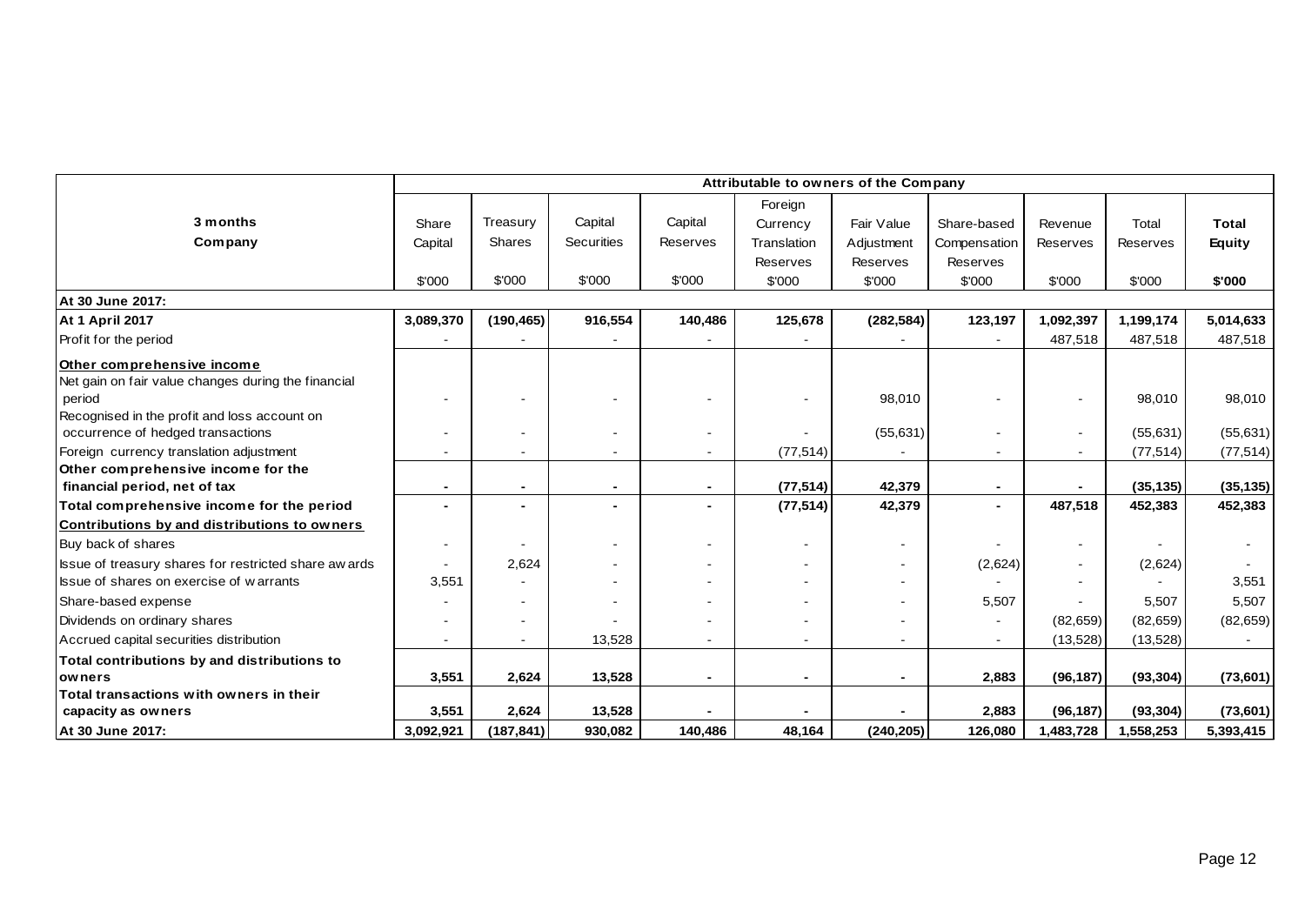|                                                       | Attributable to owners of the Company |            |                |                          |                          |                          |                |                |           |              |
|-------------------------------------------------------|---------------------------------------|------------|----------------|--------------------------|--------------------------|--------------------------|----------------|----------------|-----------|--------------|
|                                                       |                                       |            |                |                          | Foreign                  |                          |                |                |           |              |
| 3 months                                              | Share                                 | Treasury   | Capital        | Capital                  | Currency                 | Fair Value               | Share-based    | Revenue        | Total     | <b>Total</b> |
| <b>Company</b>                                        | Capital                               | Shares     | Securities     | Reserves                 | Translation              | Adjustment               | Compensation   | Reserves       | Reserves  | Equity       |
|                                                       |                                       |            |                |                          | Reserves                 | Reserves                 | Reserves       |                |           |              |
|                                                       | \$'000                                | \$'000     | \$'000         | \$'000                   | \$'000                   | \$'000                   | \$'000         | \$'000         | \$'000    | \$'000       |
| At 30 June 2017:                                      |                                       |            |                |                          |                          |                          |                |                |           |              |
| <b>At 1 April 2017</b>                                | 3,089,370                             | (190, 465) | 916,554        | 140,486                  | 125,678                  | (282, 584)               | 123,197        | 1,092,397      | 1,199,174 | 5,014,633    |
| Profit for the period                                 |                                       |            |                |                          |                          |                          |                | 487,518        | 487,518   | 487,518      |
| Other comprehensive income                            |                                       |            |                |                          |                          |                          |                |                |           |              |
| Net gain on fair value changes during the financial   |                                       |            |                |                          |                          |                          |                |                |           |              |
| period                                                |                                       |            |                |                          |                          | 98,010                   |                |                | 98,010    | 98,010       |
| Recognised in the profit and loss account on          |                                       |            |                |                          |                          |                          |                |                |           |              |
| occurrence of hedged transactions                     |                                       |            |                | $\sim$                   |                          | (55, 631)                |                | $\sim$         | (55, 631) | (55, 631)    |
| Foreign currency translation adjustment               |                                       |            |                | $\overline{\phantom{a}}$ | (77, 514)                |                          |                |                | (77, 514) | (77, 514)    |
| Other comprehensive income for the                    |                                       |            |                |                          |                          |                          |                |                |           |              |
| financial period, net of tax                          | $\blacksquare$                        |            | $\blacksquare$ | $\blacksquare$           | (77, 514)                | 42,379                   | $\sim$         | $\overline{a}$ | (35, 135) | (35, 135)    |
| Total comprehensive income for the period             |                                       |            |                |                          | (77, 514)                | 42,379                   | $\blacksquare$ | 487,518        | 452,383   | 452,383      |
| Contributions by and distributions to owners          |                                       |            |                |                          |                          |                          |                |                |           |              |
| Buy back of shares                                    |                                       |            |                | $\sim$                   |                          | $\blacksquare$           |                |                |           |              |
| Issue of treasury shares for restricted share aw ards | $\sim$                                | 2,624      |                | $\overline{\phantom{a}}$ | $\overline{\phantom{a}}$ | ٠                        | (2,624)        |                | (2,624)   |              |
| Issue of shares on exercise of warrants               | 3,551                                 |            |                |                          |                          | $\overline{\phantom{0}}$ |                |                |           | 3,551        |
| Share-based expense                                   |                                       |            |                |                          |                          | $\blacksquare$           | 5,507          |                | 5,507     | 5,507        |
| Dividends on ordinary shares                          |                                       |            |                |                          |                          | $\overline{a}$           |                | (82, 659)      | (82, 659) | (82, 659)    |
| Accrued capital securities distribution               |                                       |            | 13,528         | $\sim$                   |                          | ÷.                       | $\sim$         | (13, 528)      | (13,528)  |              |
| Total contributions by and distributions to           |                                       |            |                |                          |                          |                          |                |                |           |              |
| owners                                                | 3,551                                 | 2,624      | 13,528         | $\blacksquare$           | $\overline{\phantom{0}}$ | $\overline{\phantom{0}}$ | 2,883          | (96, 187)      | (93, 304) | (73, 601)    |
| Total transactions with owners in their               |                                       |            |                |                          |                          |                          |                |                |           |              |
| capacity as owners                                    | 3,551                                 | 2,624      | 13,528         |                          |                          |                          | 2,883          | (96, 187)      | (93, 304) | (73, 601)    |
| At 30 June 2017:                                      | 3,092,921                             | (187, 841) | 930,082        | 140,486                  | 48,164                   | (240, 205)               | 126,080        | 1,483,728      | 1,558,253 | 5,393,415    |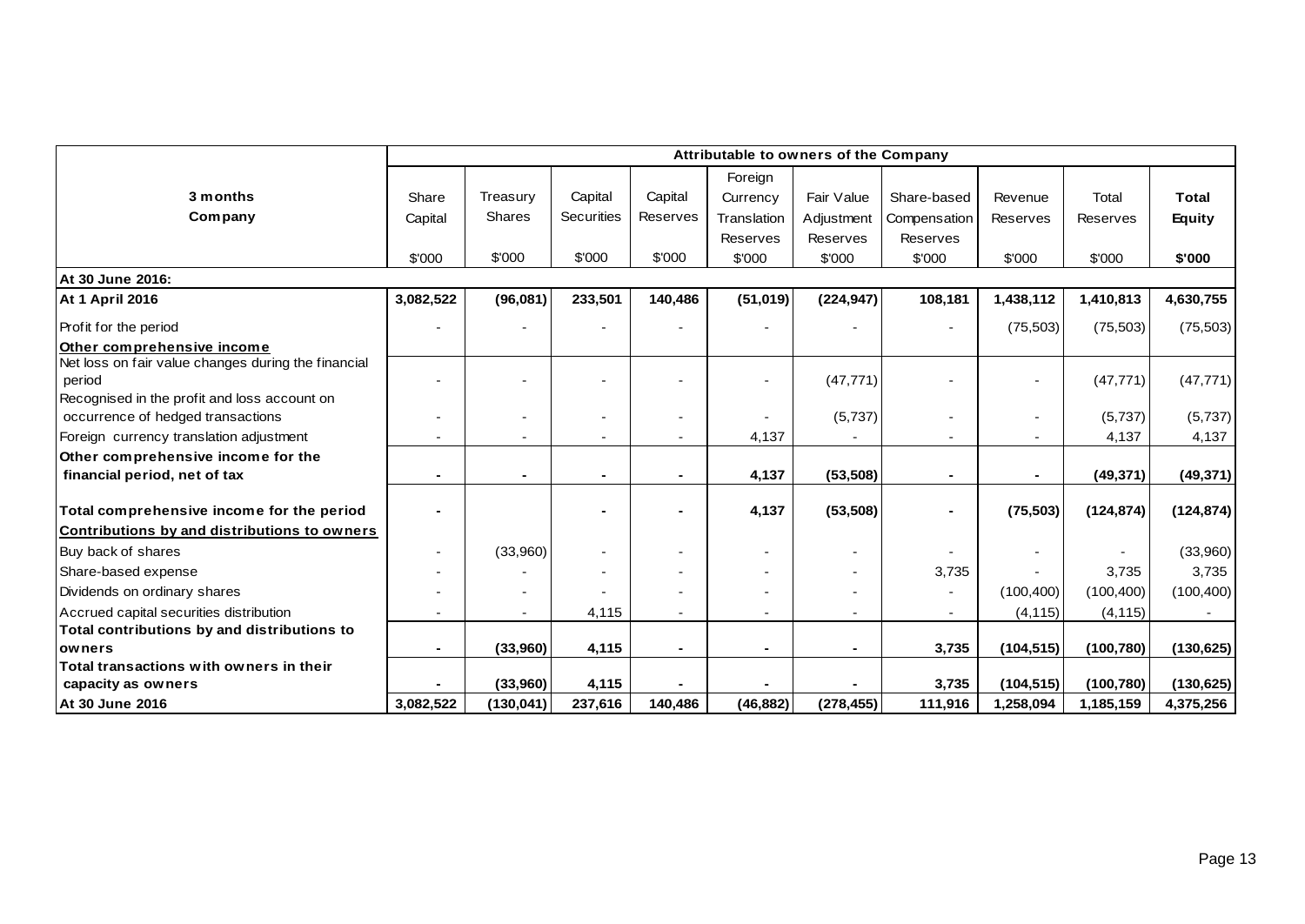|                                                     | Attributable to owners of the Company |               |                   |          |                |            |                |                          |            |               |
|-----------------------------------------------------|---------------------------------------|---------------|-------------------|----------|----------------|------------|----------------|--------------------------|------------|---------------|
|                                                     |                                       |               |                   |          | Foreign        |            |                |                          |            |               |
| 3 months                                            | Share                                 | Treasury      | Capital           | Capital  | Currency       | Fair Value | Share-based    | Revenue                  | Total      | <b>Total</b>  |
| Company                                             | Capital                               | <b>Shares</b> | <b>Securities</b> | Reserves | Translation    | Adjustment | Compensation   | Reserves                 | Reserves   | <b>Equity</b> |
|                                                     |                                       |               |                   |          | Reserves       | Reserves   | Reserves       |                          |            |               |
|                                                     | \$'000                                | \$'000        | \$'000            | \$'000   | \$'000         | \$'000     | \$'000         | \$'000                   | \$'000     | \$'000        |
| At 30 June 2016:                                    |                                       |               |                   |          |                |            |                |                          |            |               |
| <b>At 1 April 2016</b>                              | 3,082,522                             | (96,081)      | 233,501           | 140,486  | (51, 019)      | (224, 947) | 108,181        | 1,438,112                | 1,410,813  | 4,630,755     |
| Profit for the period                               |                                       |               |                   |          |                |            |                | (75, 503)                | (75, 503)  | (75, 503)     |
| Other comprehensive income                          |                                       |               |                   |          |                |            |                |                          |            |               |
| Net loss on fair value changes during the financial |                                       |               |                   |          |                |            |                |                          |            |               |
| period                                              |                                       |               |                   |          |                | (47, 771)  |                | $\overline{\phantom{a}}$ | (47, 771)  | (47, 771)     |
| Recognised in the profit and loss account on        |                                       |               |                   |          |                |            |                |                          |            |               |
| occurrence of hedged transactions                   |                                       |               |                   |          |                | (5,737)    |                | $\overline{\phantom{a}}$ | (5,737)    | (5,737)       |
| Foreign currency translation adjustment             |                                       |               |                   |          | 4,137          |            |                | $\overline{\phantom{0}}$ | 4,137      | 4,137         |
| Other comprehensive income for the                  |                                       |               |                   |          |                |            |                |                          |            |               |
| financial period, net of tax                        |                                       |               |                   |          | 4,137          | (53, 508)  |                | $\blacksquare$           | (49, 371)  | (49, 371)     |
| Total comprehensive income for the period           |                                       |               |                   |          | 4,137          | (53, 508)  |                | (75, 503)                | (124, 874) | (124, 874)    |
| Contributions by and distributions to owners        |                                       |               |                   |          |                |            |                |                          |            |               |
| Buy back of shares                                  |                                       | (33,960)      |                   |          |                |            |                |                          |            | (33,960)      |
| Share-based expense                                 |                                       |               |                   |          |                |            | 3,735          |                          | 3,735      | 3,735         |
| Dividends on ordinary shares                        |                                       |               |                   |          |                |            |                | (100, 400)               | (100, 400) | (100, 400)    |
| Accrued capital securities distribution             |                                       |               | 4,115             |          |                |            | $\blacksquare$ | (4, 115)                 | (4, 115)   |               |
| Total contributions by and distributions to         |                                       |               |                   |          |                |            |                |                          |            |               |
| owners                                              |                                       | (33,960)      | 4,115             |          | $\blacksquare$ |            | 3,735          | (104, 515)               | (100, 780) | (130, 625)    |
| Total transactions with owners in their             |                                       |               |                   |          |                |            |                |                          |            |               |
| capacity as owners                                  |                                       | (33,960)      | 4,115             |          |                |            | 3,735          | (104, 515)               | (100, 780) | (130, 625)    |
| At 30 June 2016                                     | 3,082,522                             | (130,041)     | 237,616           | 140,486  | (46, 882)      | (278, 455) | 111,916        | 1,258,094                | 1,185,159  | 4,375,256     |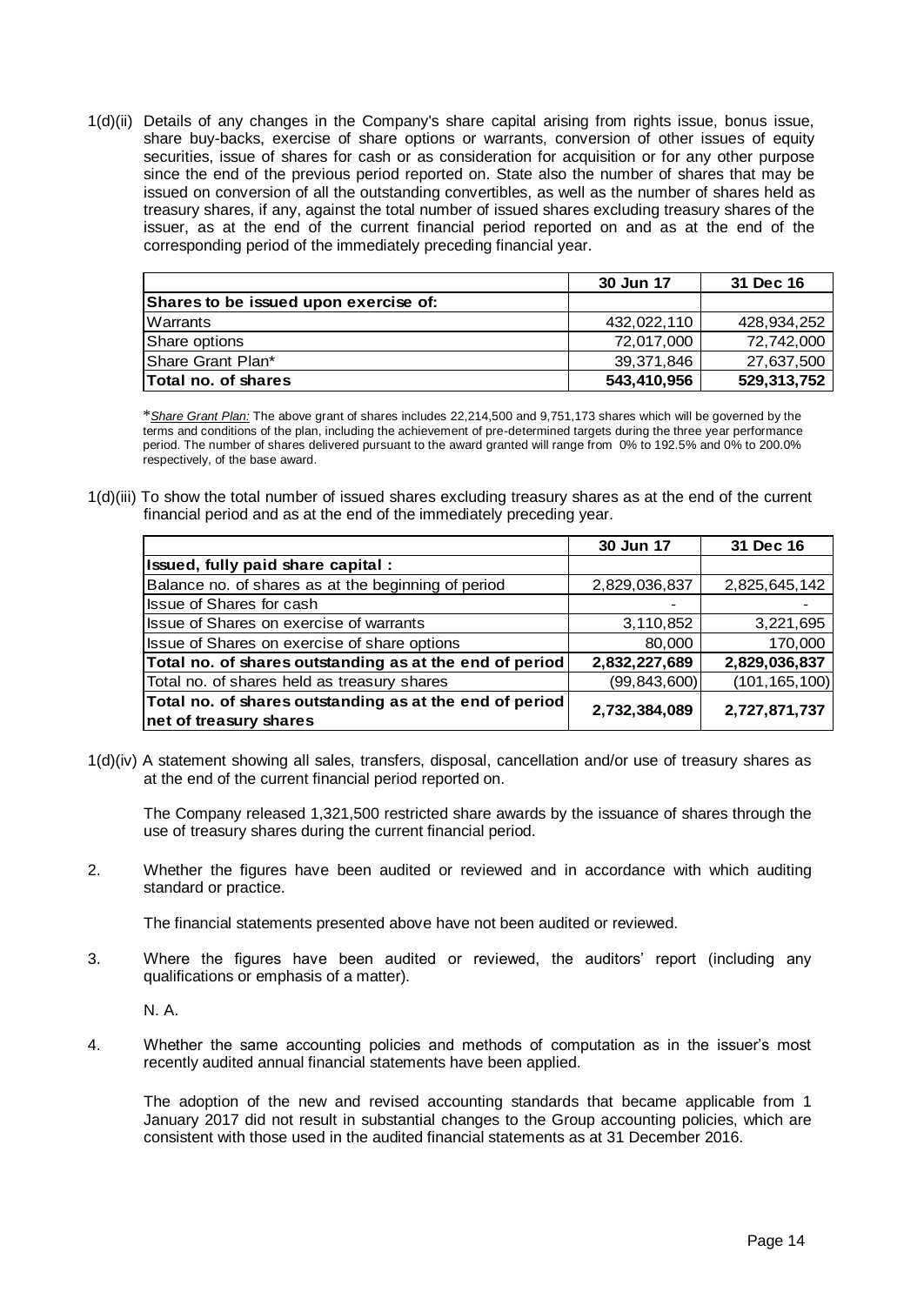1(d)(ii) Details of any changes in the Company's share capital arising from rights issue, bonus issue, share buy-backs, exercise of share options or warrants, conversion of other issues of equity securities, issue of shares for cash or as consideration for acquisition or for any other purpose since the end of the previous period reported on. State also the number of shares that may be issued on conversion of all the outstanding convertibles, as well as the number of shares held as treasury shares, if any, against the total number of issued shares excluding treasury shares of the issuer, as at the end of the current financial period reported on and as at the end of the corresponding period of the immediately preceding financial year.

|                                              | 30 Jun 17   | 31 Dec 16   |
|----------------------------------------------|-------------|-------------|
| <b>Shares to be issued upon exercise of:</b> |             |             |
| Warrants                                     | 432,022,110 | 428,934,252 |
| Share options                                | 72,017,000  | 72,742,000  |
| <b>Share Grant Plan*</b>                     | 39,371,846  | 27,637,500  |
| <b>Total no. of shares</b>                   | 543,410,956 | 529,313,752 |

\**Share Grant Plan:* The above grant of shares includes 22,214,500 and 9,751,173 shares which will be governed by the terms and conditions of the plan, including the achievement of pre-determined targets during the three year performance period. The number of shares delivered pursuant to the award granted will range from 0% to 192.5% and 0% to 200.0% respectively, of the base award.

1(d)(iii) To show the total number of issued shares excluding treasury shares as at the end of the current financial period and as at the end of the immediately preceding year.

|                                                         | 30 Jun 17      | 31 Dec 16       |
|---------------------------------------------------------|----------------|-----------------|
| Issued, fully paid share capital :                      |                |                 |
| Balance no. of shares as at the beginning of period     | 2,829,036,837  | 2,825,645,142   |
| Issue of Shares for cash                                |                |                 |
| Issue of Shares on exercise of warrants                 | 3,110,852      | 3,221,695       |
| Issue of Shares on exercise of share options            | 80,000         | 170,000         |
| Total no. of shares outstanding as at the end of period | 2,832,227,689  | 2,829,036,837   |
| Total no. of shares held as treasury shares             | (99, 843, 600) | (101, 165, 100) |
| Total no. of shares outstanding as at the end of period | 2,732,384,089  | 2,727,871,737   |
| net of treasury shares                                  |                |                 |

1(d)(iv) A statement showing all sales, transfers, disposal, cancellation and/or use of treasury shares as at the end of the current financial period reported on.

The Company released 1,321,500 restricted share awards by the issuance of shares through the use of treasury shares during the current financial period.

2. Whether the figures have been audited or reviewed and in accordance with which auditing standard or practice.

The financial statements presented above have not been audited or reviewed.

3. Where the figures have been audited or reviewed, the auditors' report (including any qualifications or emphasis of a matter).

N. A.

4. Whether the same accounting policies and methods of computation as in the issuer's most recently audited annual financial statements have been applied.

The adoption of the new and revised accounting standards that became applicable from 1 January 2017 did not result in substantial changes to the Group accounting policies, which are consistent with those used in the audited financial statements as at 31 December 2016.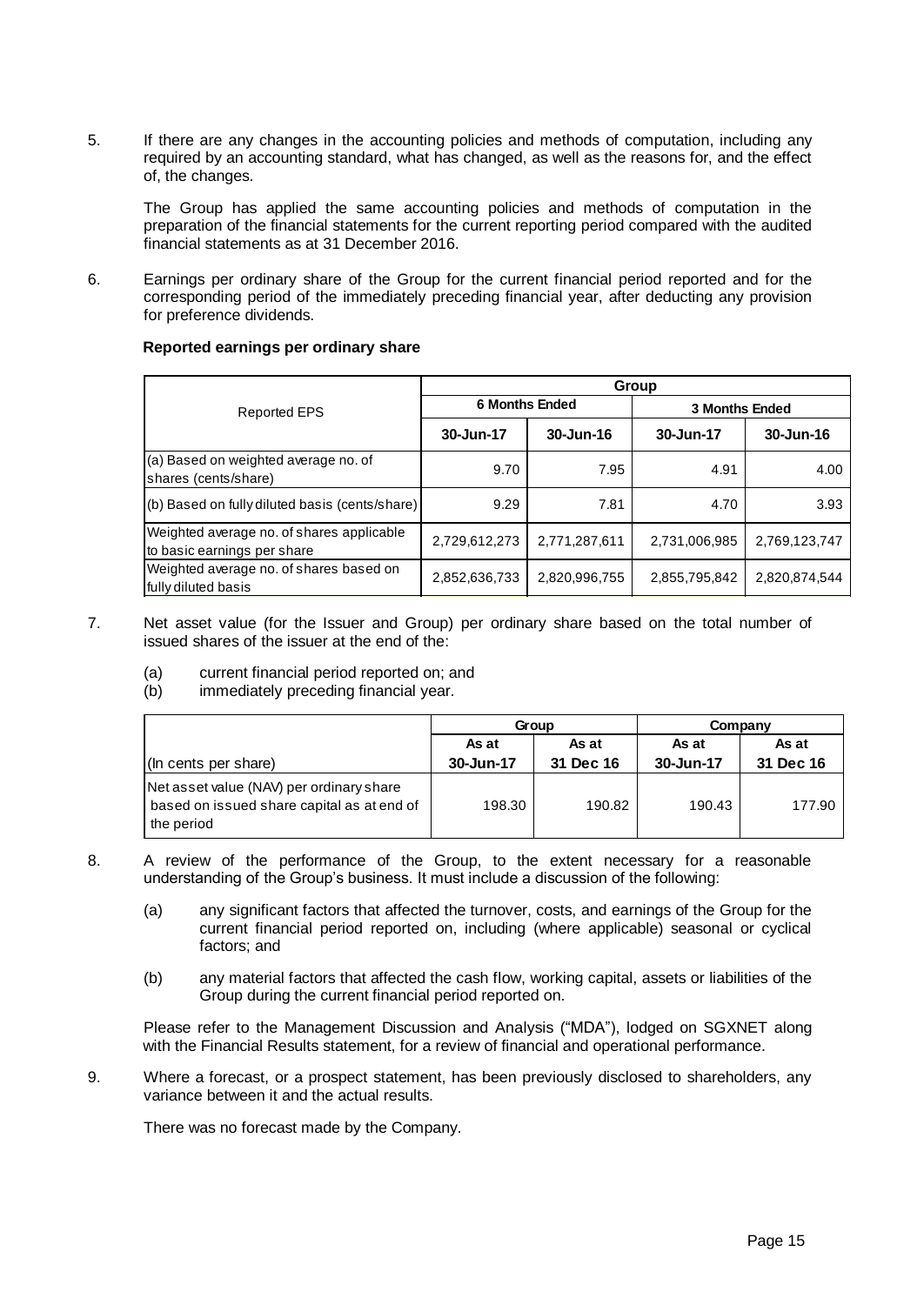5. If there are any changes in the accounting policies and methods of computation, including any required by an accounting standard, what has changed, as well as the reasons for, and the effect of, the changes.

The Group has applied the same accounting policies and methods of computation in the preparation of the financial statements for the current reporting period compared with the audited financial statements as at 31 December 2016.

6. Earnings per ordinary share of the Group for the current financial period reported and for the corresponding period of the immediately preceding financial year, after deducting any provision for preference dividends.

#### **Reported earnings per ordinary share**

|                                                                          | Group                 |               |                       |               |  |  |  |
|--------------------------------------------------------------------------|-----------------------|---------------|-----------------------|---------------|--|--|--|
| <b>Reported EPS</b>                                                      | <b>6 Months Ended</b> |               | <b>3 Months Ended</b> |               |  |  |  |
|                                                                          | 30-Jun-17             | 30-Jun-16     | 30-Jun-17             | 30-Jun-16     |  |  |  |
| (a) Based on weighted average no. of<br>shares (cents/share)             | 9.70                  | 7.95          | 4.91                  | 4.00          |  |  |  |
| (b) Based on fully diluted basis (cents/share)                           | 9.29                  | 7.81          | 4.70                  | 3.93          |  |  |  |
| Weighted average no. of shares applicable<br>to basic earnings per share | 2,729,612,273         | 2,771,287,611 | 2,731,006,985         | 2,769,123,747 |  |  |  |
| Weighted average no. of shares based on<br>fully diluted basis           | 2,852,636,733         | 2,820,996,755 | 2,855,795,842         | 2,820,874,544 |  |  |  |

- 7. Net asset value (for the Issuer and Group) per ordinary share based on the total number of issued shares of the issuer at the end of the:
	- (a) current financial period reported on; and
	- (b) immediately preceding financial year.

|                                                                                                      |           | Group     | Company   |           |  |
|------------------------------------------------------------------------------------------------------|-----------|-----------|-----------|-----------|--|
|                                                                                                      | As at     | As at     | As at     | As at     |  |
| (In cents per share)                                                                                 | 30-Jun-17 | 31 Dec 16 | 30-Jun-17 | 31 Dec 16 |  |
| Net asset value (NAV) per ordinary share<br>based on issued share capital as at end of<br>the period | 198.30    | 190.82    | 190.43    | 177.90    |  |

- 8. A review of the performance of the Group, to the extent necessary for a reasonable understanding of the Group's business. It must include a discussion of the following:
	- (a) any significant factors that affected the turnover, costs, and earnings of the Group for the current financial period reported on, including (where applicable) seasonal or cyclical factors; and
	- (b) any material factors that affected the cash flow, working capital, assets or liabilities of the Group during the current financial period reported on.

Please refer to the Management Discussion and Analysis ("MDA"), lodged on SGXNET along with the Financial Results statement, for a review of financial and operational performance.

9. Where a forecast, or a prospect statement, has been previously disclosed to shareholders, any variance between it and the actual results.

There was no forecast made by the Company.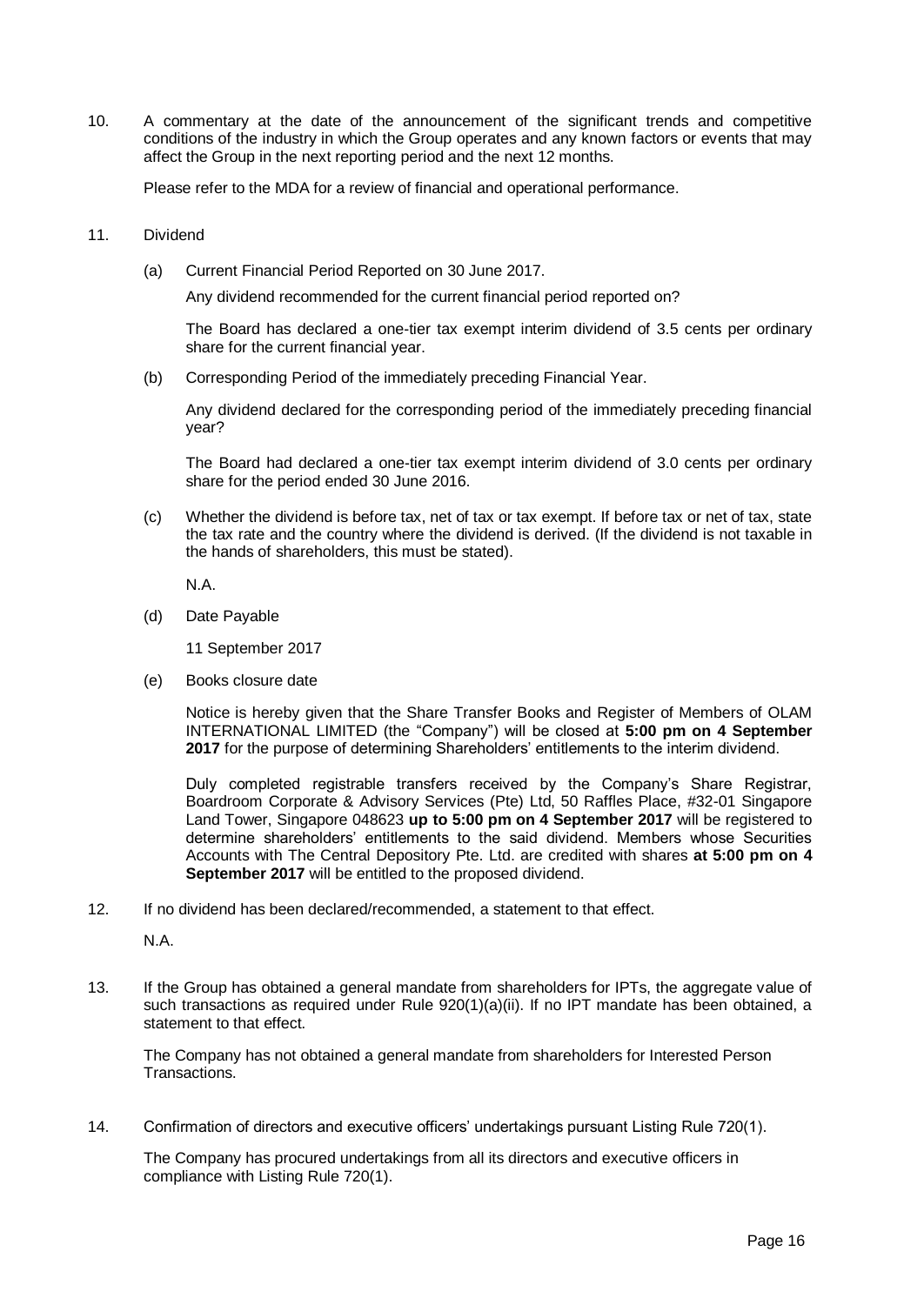10. A commentary at the date of the announcement of the significant trends and competitive conditions of the industry in which the Group operates and any known factors or events that may affect the Group in the next reporting period and the next 12 months.

Please refer to the MDA for a review of financial and operational performance.

- 11. Dividend
	- (a) Current Financial Period Reported on 30 June 2017.

Any dividend recommended for the current financial period reported on?

The Board has declared a one-tier tax exempt interim dividend of 3.5 cents per ordinary share for the current financial year.

(b) Corresponding Period of the immediately preceding Financial Year.

Any dividend declared for the corresponding period of the immediately preceding financial year?

The Board had declared a one-tier tax exempt interim dividend of 3.0 cents per ordinary share for the period ended 30 June 2016.

(c) Whether the dividend is before tax, net of tax or tax exempt. If before tax or net of tax, state the tax rate and the country where the dividend is derived. (If the dividend is not taxable in the hands of shareholders, this must be stated).

N.A.

(d) Date Payable

11 September 2017

(e) Books closure date

Notice is hereby given that the Share Transfer Books and Register of Members of OLAM INTERNATIONAL LIMITED (the "Company") will be closed at **5:00 pm on 4 September 2017** for the purpose of determining Shareholders' entitlements to the interim dividend.

Duly completed registrable transfers received by the Company's Share Registrar, Boardroom Corporate & Advisory Services (Pte) Ltd, 50 Raffles Place, #32-01 Singapore Land Tower, Singapore 048623 **up to 5:00 pm on 4 September 2017** will be registered to determine shareholders' entitlements to the said dividend. Members whose Securities Accounts with The Central Depository Pte. Ltd. are credited with shares **at 5:00 pm on 4 September 2017** will be entitled to the proposed dividend.

12. If no dividend has been declared/recommended, a statement to that effect.

N.A.

13. If the Group has obtained a general mandate from shareholders for IPTs, the aggregate value of such transactions as required under Rule  $920(1)(a)(ii)$ . If no IPT mandate has been obtained, a statement to that effect.

The Company has not obtained a general mandate from shareholders for Interested Person Transactions.

14. Confirmation of directors and executive officers' undertakings pursuant Listing Rule 720(1).

The Company has procured undertakings from all its directors and executive officers in compliance with Listing Rule 720(1).